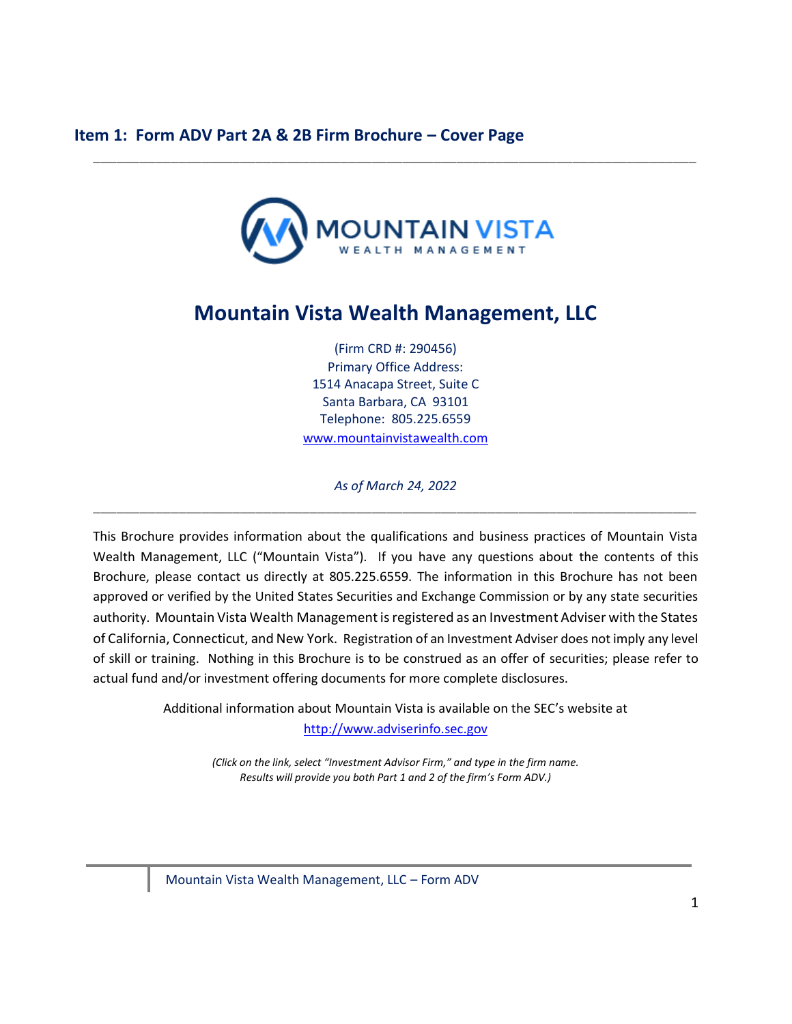

<span id="page-0-0"></span>\_\_\_\_\_\_\_\_\_\_\_\_\_\_\_\_\_\_\_\_\_\_\_\_\_\_\_\_\_\_\_\_\_\_\_\_\_\_\_\_\_\_\_\_\_\_\_\_\_\_\_\_\_\_\_\_\_\_\_\_\_\_\_\_\_\_\_\_\_\_\_\_\_\_\_\_\_\_

# **Mountain Vista Wealth Management, LLC**

(Firm CRD #: 290456) Primary Office Address: 1514 Anacapa Street, Suite C Santa Barbara, CA 93101 Telephone: 805.225.6559 [www.mountainvistawealth.com](http://www.mountainvistawealth.com/)

*As of March 24, 2022* \_\_\_\_\_\_\_\_\_\_\_\_\_\_\_\_\_\_\_\_\_\_\_\_\_\_\_\_\_\_\_\_\_\_\_\_\_\_\_\_\_\_\_\_\_\_\_\_\_\_\_\_\_\_\_\_\_\_\_\_\_\_\_\_\_\_\_\_\_\_\_\_\_\_\_\_\_\_

This Brochure provides information about the qualifications and business practices of Mountain Vista Wealth Management, LLC ("Mountain Vista"). If you have any questions about the contents of this Brochure, please contact us directly at 805.225.6559. The information in this Brochure has not been approved or verified by the United States Securities and Exchange Commission or by any state securities authority. Mountain Vista Wealth Management is registered as an Investment Adviser with the States of California, Connecticut, and New York. Registration of an Investment Adviser does not imply any level of skill or training. Nothing in this Brochure is to be construed as an offer of securities; please refer to actual fund and/or investment offering documents for more complete disclosures.

> Additional information about Mountain Vista is available on the SEC's website at [http://www.adviserinfo.sec.gov](http://www.adviserinfo.sec.gov/)

> > *(Click on the link, select "Investment Advisor Firm," and type in the firm name. Results will provide you both Part 1 and 2 of the firm's Form ADV.)*

Mountain Vista Wealth Management, LLC – Form ADV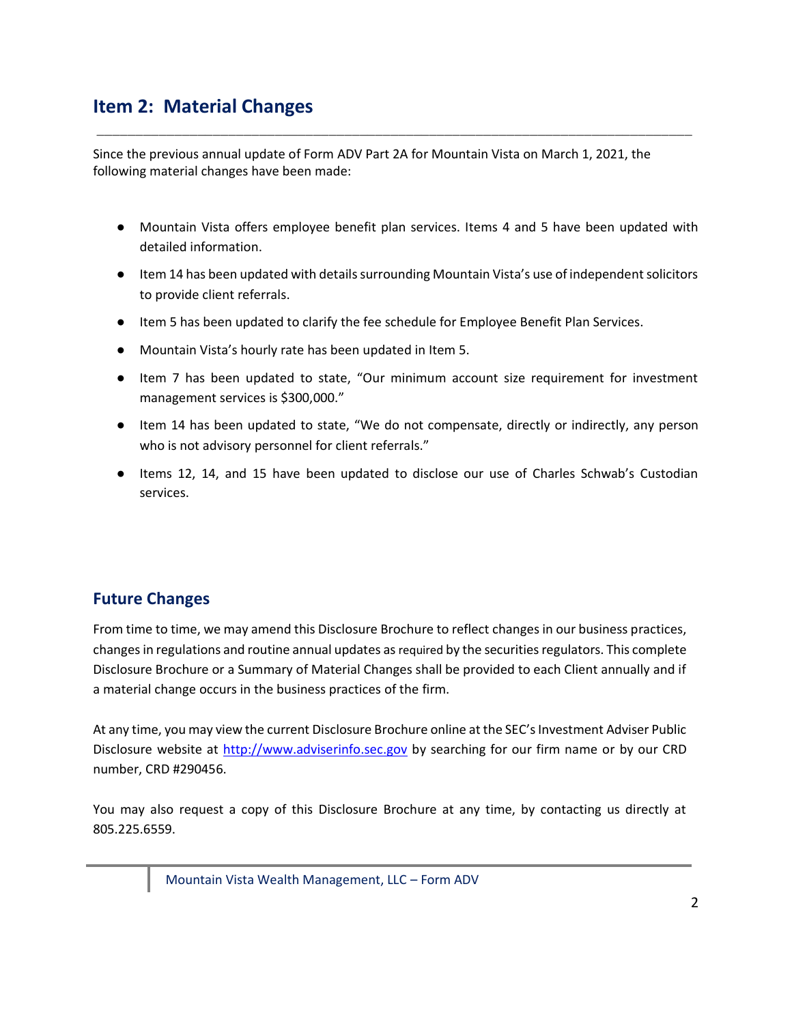# <span id="page-1-0"></span>**Item 2: Material Changes**

Since the previous annual update of Form ADV Part 2A for Mountain Vista on March 1, 2021, the following material changes have been made:

\_\_\_\_\_\_\_\_\_\_\_\_\_\_\_\_\_\_\_\_\_\_\_\_\_\_\_\_\_\_\_\_\_\_\_\_\_\_\_\_\_\_\_\_\_\_\_\_\_\_\_\_\_\_\_\_\_\_\_\_\_\_\_\_\_\_\_\_\_\_\_\_\_\_\_\_\_

- Mountain Vista offers employee benefit plan services. Items 4 and 5 have been updated with detailed information.
- Item 14 has been updated with details surrounding Mountain Vista's use of independent solicitors to provide client referrals.
- Item 5 has been updated to clarify the fee schedule for Employee Benefit Plan Services.
- Mountain Vista's hourly rate has been updated in Item 5.
- Item 7 has been updated to state, "Our minimum account size requirement for investment management services is \$300,000."
- Item 14 has been updated to state, "We do not compensate, directly or indirectly, any person who is not advisory personnel for client referrals."
- Items 12, 14, and 15 have been updated to disclose our use of Charles Schwab's Custodian services.

### **Future Changes**

From time to time, we may amend this Disclosure Brochure to reflect changes in our business practices, changes in regulations and routine annual updates as required by the securities regulators. This complete Disclosure Brochure or a Summary of Material Changes shall be provided to each Client annually and if a material change occurs in the business practices of the firm.

At any time, you may view the current Disclosure Brochure online at the SEC's Investment Adviser Public Disclosure website at [http://www.adviserinfo.sec.gov](http://www.adviserinfo.sec.gov/) by searching for our firm name or by our CRD number, CRD #290456.

You may also request a copy of this Disclosure Brochure at any time, by contacting us directly at 805.225.6559.

Mountain Vista Wealth Management, LLC – Form ADV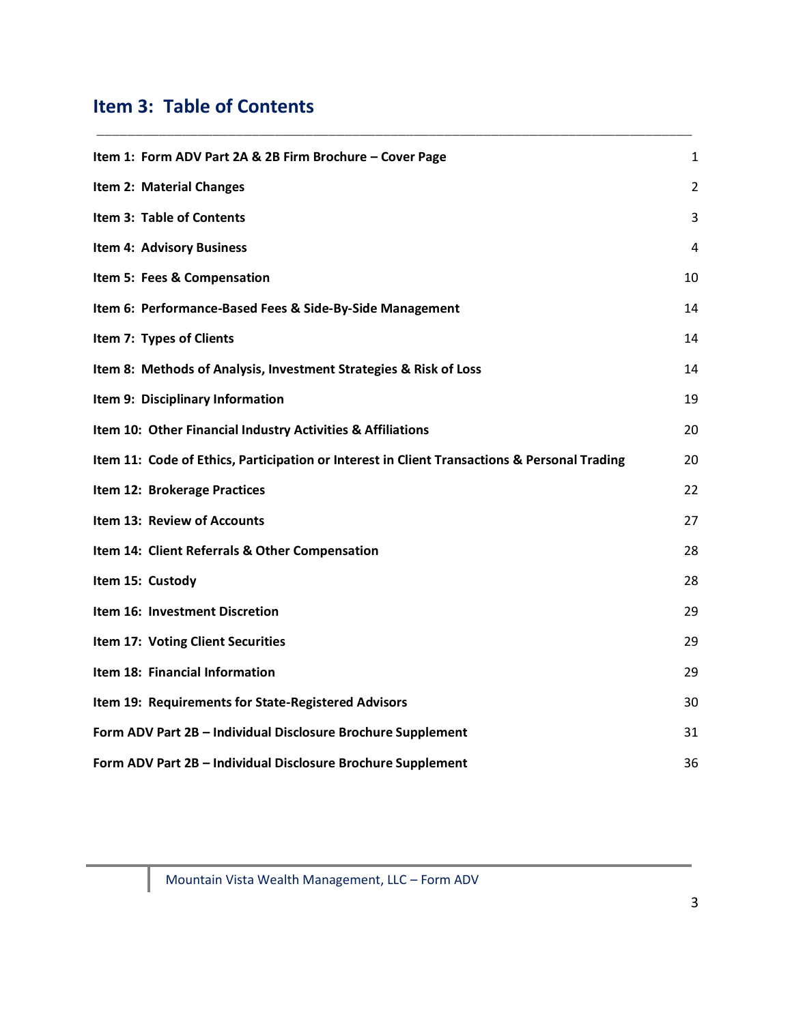# <span id="page-2-0"></span>**Item 3: Table of Contents**

| Item 1: Form ADV Part 2A & 2B Firm Brochure - Cover Page                                     | $\mathbf{1}$   |
|----------------------------------------------------------------------------------------------|----------------|
| Item 2: Material Changes                                                                     | $\overline{2}$ |
| Item 3: Table of Contents                                                                    | 3              |
| <b>Item 4: Advisory Business</b>                                                             | 4              |
| Item 5: Fees & Compensation                                                                  | 10             |
| Item 6: Performance-Based Fees & Side-By-Side Management                                     | 14             |
| Item 7: Types of Clients                                                                     | 14             |
| Item 8: Methods of Analysis, Investment Strategies & Risk of Loss                            | 14             |
| Item 9: Disciplinary Information                                                             | 19             |
| Item 10: Other Financial Industry Activities & Affiliations                                  | 20             |
| Item 11: Code of Ethics, Participation or Interest in Client Transactions & Personal Trading | 20             |
| Item 12: Brokerage Practices                                                                 | 22             |
| Item 13: Review of Accounts                                                                  | 27             |
| Item 14: Client Referrals & Other Compensation                                               | 28             |
| Item 15: Custody                                                                             | 28             |
| Item 16: Investment Discretion                                                               | 29             |
| Item 17: Voting Client Securities                                                            | 29             |
| Item 18: Financial Information                                                               | 29             |
| Item 19: Requirements for State-Registered Advisors                                          | 30             |
| Form ADV Part 2B - Individual Disclosure Brochure Supplement                                 | 31             |
| Form ADV Part 2B - Individual Disclosure Brochure Supplement                                 | 36             |

\_\_\_\_\_\_\_\_\_\_\_\_\_\_\_\_\_\_\_\_\_\_\_\_\_\_\_\_\_\_\_\_\_\_\_\_\_\_\_\_\_\_\_\_\_\_\_\_\_\_\_\_\_\_\_\_\_\_\_\_\_\_\_\_\_\_\_\_\_\_\_\_\_\_\_\_\_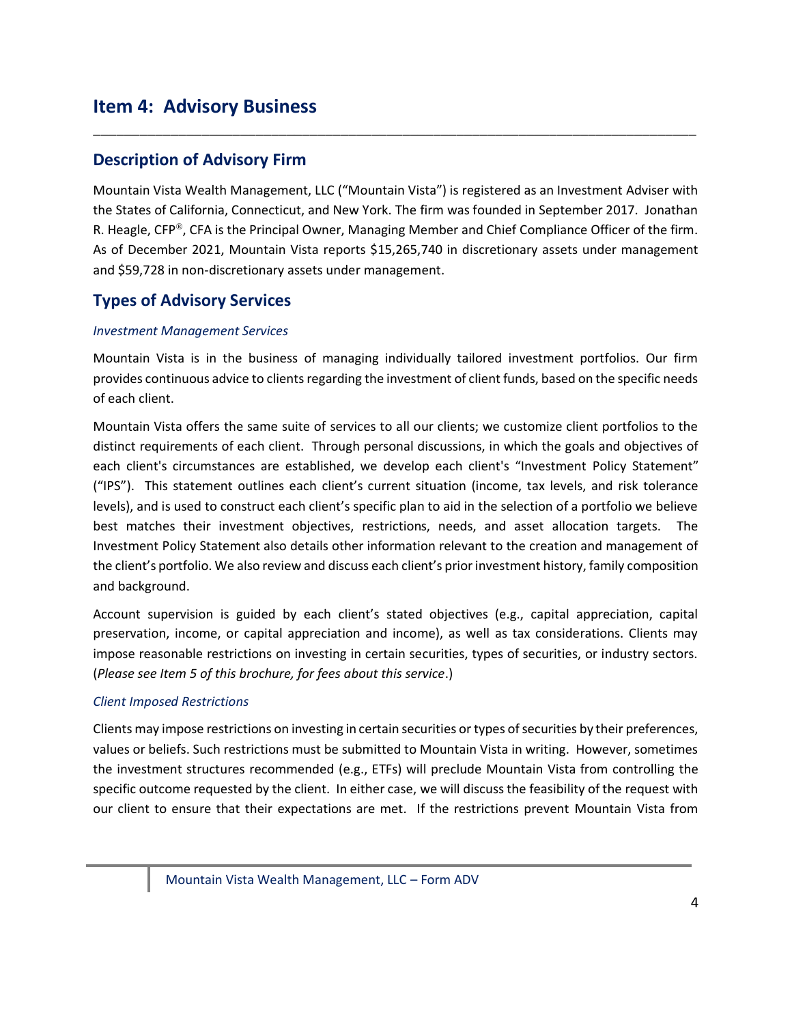# <span id="page-3-0"></span>**Item 4: Advisory Business**

### **Description of Advisory Firm**

Mountain Vista Wealth Management, LLC ("Mountain Vista") is registered as an Investment Adviser with the States of California, Connecticut, and New York. The firm was founded in September 2017. Jonathan R. Heagle, CFP®, CFA is the Principal Owner, Managing Member and Chief Compliance Officer of the firm. As of December 2021, Mountain Vista reports \$15,265,740 in discretionary assets under management and \$59,728 in non-discretionary assets under management.

\_\_\_\_\_\_\_\_\_\_\_\_\_\_\_\_\_\_\_\_\_\_\_\_\_\_\_\_\_\_\_\_\_\_\_\_\_\_\_\_\_\_\_\_\_\_\_\_\_\_\_\_\_\_\_\_\_\_\_\_\_\_\_\_\_\_\_\_\_\_\_\_\_\_\_\_\_\_

### **Types of Advisory Services**

#### *Investment Management Services*

Mountain Vista is in the business of managing individually tailored investment portfolios. Our firm provides continuous advice to clients regarding the investment of client funds, based on the specific needs of each client.

Mountain Vista offers the same suite of services to all our clients; we customize client portfolios to the distinct requirements of each client. Through personal discussions, in which the goals and objectives of each client's circumstances are established, we develop each client's "Investment Policy Statement" ("IPS"). This statement outlines each client's current situation (income, tax levels, and risk tolerance levels), and is used to construct each client's specific plan to aid in the selection of a portfolio we believe best matches their investment objectives, restrictions, needs, and asset allocation targets. The Investment Policy Statement also details other information relevant to the creation and management of the client's portfolio. We also review and discuss each client's prior investment history, family composition and background.

Account supervision is guided by each client's stated objectives (e.g., capital appreciation, capital preservation, income, or capital appreciation and income), as well as tax considerations. Clients may impose reasonable restrictions on investing in certain securities, types of securities, or industry sectors. (*Please see Item 5 of this brochure, for fees about this service*.)

#### *Client Imposed Restrictions*

Clients may impose restrictions on investing in certain securities or types of securities by their preferences, values or beliefs. Such restrictions must be submitted to Mountain Vista in writing. However, sometimes the investment structures recommended (e.g., ETFs) will preclude Mountain Vista from controlling the specific outcome requested by the client. In either case, we will discuss the feasibility of the request with our client to ensure that their expectations are met. If the restrictions prevent Mountain Vista from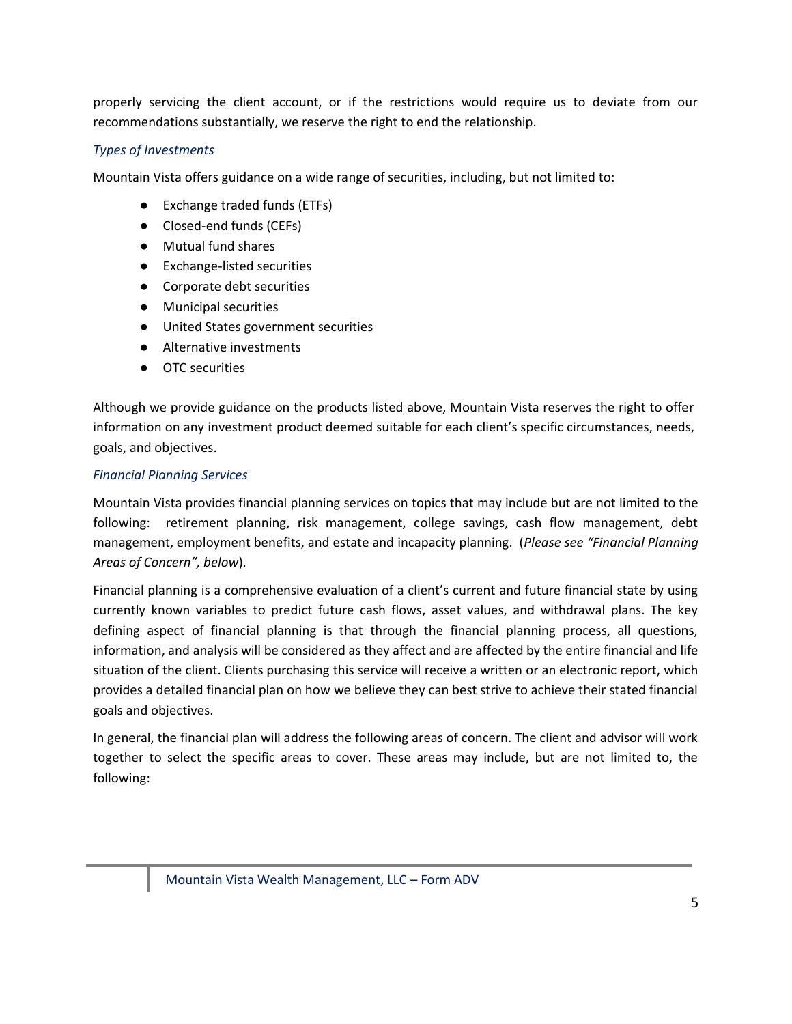properly servicing the client account, or if the restrictions would require us to deviate from our recommendations substantially, we reserve the right to end the relationship.

#### *Types of Investments*

Mountain Vista offers guidance on a wide range of securities, including, but not limited to:

- Exchange traded funds (ETFs)
- Closed-end funds (CEFs)
- Mutual fund shares
- Exchange-listed securities
- Corporate debt securities
- Municipal securities
- United States government securities
- Alternative investments
- OTC securities

Although we provide guidance on the products listed above, Mountain Vista reserves the right to offer information on any investment product deemed suitable for each client's specific circumstances, needs, goals, and objectives.

#### *Financial Planning Services*

Mountain Vista provides financial planning services on topics that may include but are not limited to the following: retirement planning, risk management, college savings, cash flow management, debt management, employment benefits, and estate and incapacity planning. (*Please see "Financial Planning Areas of Concern", below*).

Financial planning is a comprehensive evaluation of a client's current and future financial state by using currently known variables to predict future cash flows, asset values, and withdrawal plans. The key defining aspect of financial planning is that through the financial planning process, all questions, information, and analysis will be considered as they affect and are affected by the entire financial and life situation of the client. Clients purchasing this service will receive a written or an electronic report, which provides a detailed financial plan on how we believe they can best strive to achieve their stated financial goals and objectives.

In general, the financial plan will address the following areas of concern. The client and advisor will work together to select the specific areas to cover. These areas may include, but are not limited to, the following: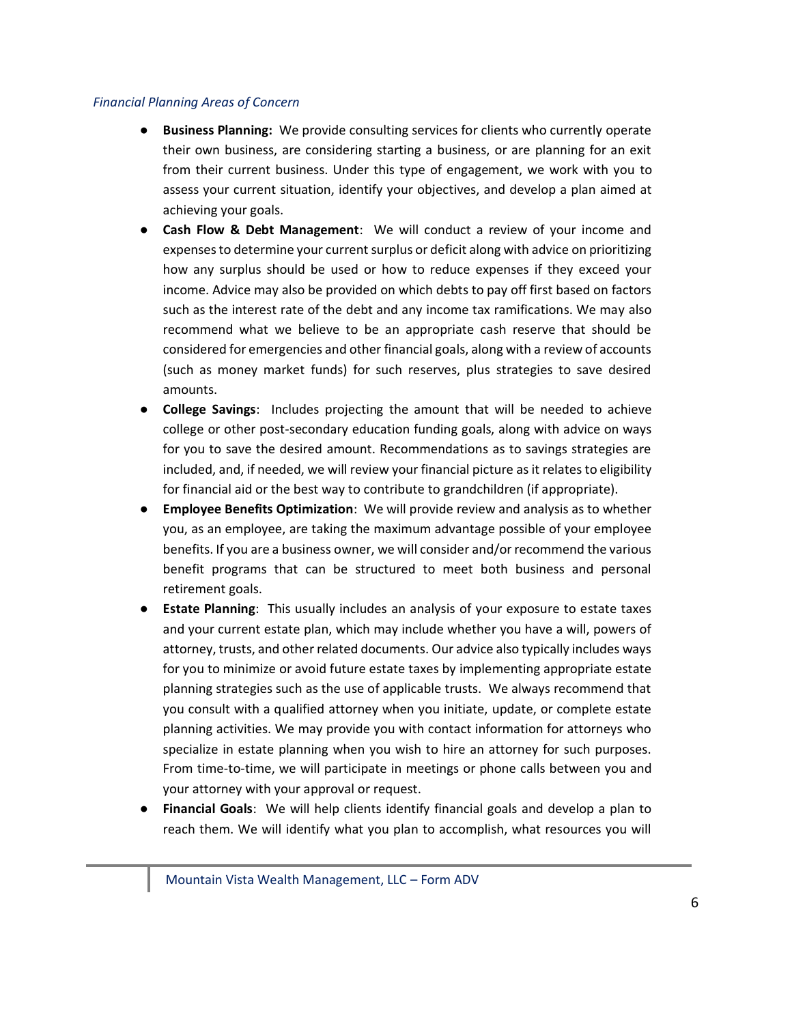#### *Financial Planning Areas of Concern*

- **Business Planning:** We provide consulting services for clients who currently operate their own business, are considering starting a business, or are planning for an exit from their current business. Under this type of engagement, we work with you to assess your current situation, identify your objectives, and develop a plan aimed at achieving your goals.
- **Cash Flow & Debt Management**: We will conduct a review of your income and expenses to determine your current surplus or deficit along with advice on prioritizing how any surplus should be used or how to reduce expenses if they exceed your income. Advice may also be provided on which debts to pay off first based on factors such as the interest rate of the debt and any income tax ramifications. We may also recommend what we believe to be an appropriate cash reserve that should be considered for emergencies and other financial goals, along with a review of accounts (such as money market funds) for such reserves, plus strategies to save desired amounts.
- **College Savings**: Includes projecting the amount that will be needed to achieve college or other post-secondary education funding goals, along with advice on ways for you to save the desired amount. Recommendations as to savings strategies are included, and, if needed, we will review your financial picture as it relates to eligibility for financial aid or the best way to contribute to grandchildren (if appropriate).
- **Employee Benefits Optimization**: We will provide review and analysis as to whether you, as an employee, are taking the maximum advantage possible of your employee benefits. If you are a business owner, we will consider and/or recommend the various benefit programs that can be structured to meet both business and personal retirement goals.
- **Estate Planning**: This usually includes an analysis of your exposure to estate taxes and your current estate plan, which may include whether you have a will, powers of attorney, trusts, and other related documents. Our advice also typically includes ways for you to minimize or avoid future estate taxes by implementing appropriate estate planning strategies such as the use of applicable trusts. We always recommend that you consult with a qualified attorney when you initiate, update, or complete estate planning activities. We may provide you with contact information for attorneys who specialize in estate planning when you wish to hire an attorney for such purposes. From time-to-time, we will participate in meetings or phone calls between you and your attorney with your approval or request.
- **Financial Goals:** We will help clients identify financial goals and develop a plan to reach them. We will identify what you plan to accomplish, what resources you will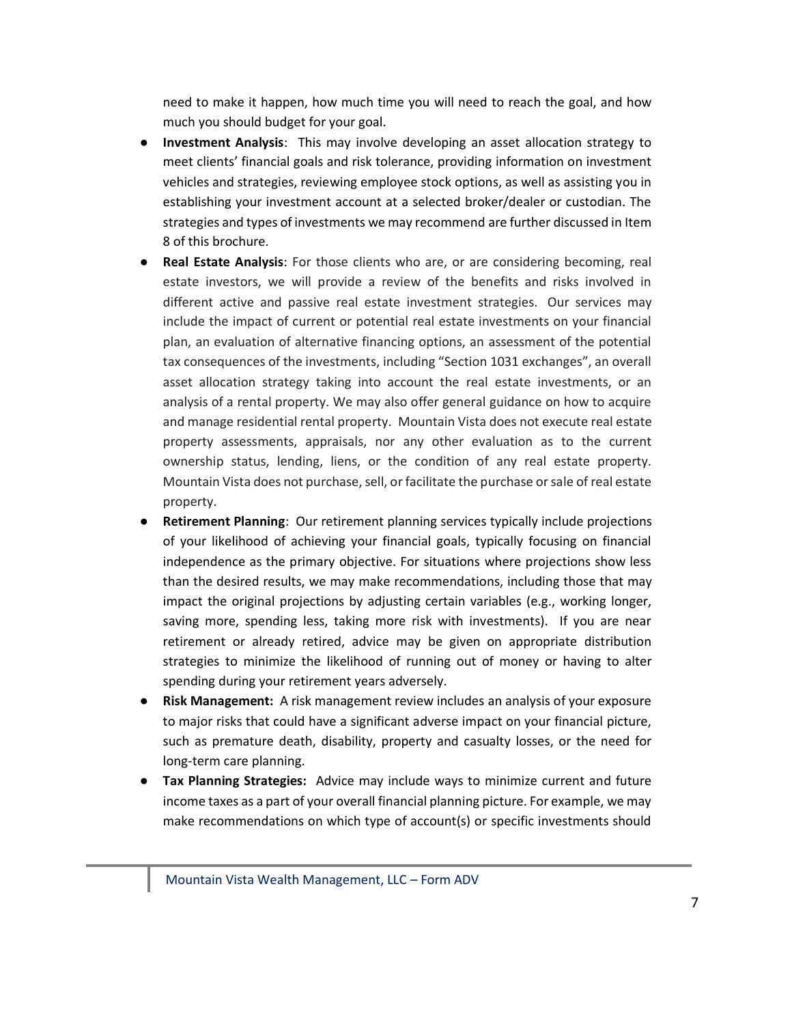need to make it happen, how much time you will need to reach the goal, and how much you should budget for your goal.

- **Investment Analysis**: This may involve developing an asset allocation strategy to meet clients' financial goals and risk tolerance, providing information on investment vehicles and strategies, reviewing employee stock options, as well as assisting you in establishing your investment account at a selected broker/dealer or custodian. The strategies and types of investments we may recommend are further discussed in Item 8 of this brochure.
- **Real Estate Analysis**: For those clients who are, or are considering becoming, real estate investors, we will provide a review of the benefits and risks involved in different active and passive real estate investment strategies. Our services may include the impact of current or potential real estate investments on your financial plan, an evaluation of alternative financing options, an assessment of the potential tax consequences of the investments, including "Section 1031 exchanges", an overall asset allocation strategy taking into account the real estate investments, or an analysis of a rental property. We may also offer general guidance on how to acquire and manage residential rental property. Mountain Vista does not execute real estate property assessments, appraisals, nor any other evaluation as to the current ownership status, lending, liens, or the condition of any real estate property. Mountain Vista does not purchase, sell, or facilitate the purchase or sale of real estate property.
- **Retirement Planning:** Our retirement planning services typically include projections of your likelihood of achieving your financial goals, typically focusing on financial independence as the primary objective. For situations where projections show less than the desired results, we may make recommendations, including those that may impact the original projections by adjusting certain variables (e.g., working longer, saving more, spending less, taking more risk with investments). If you are near retirement or already retired, advice may be given on appropriate distribution strategies to minimize the likelihood of running out of money or having to alter spending during your retirement years adversely.
- **Risk Management:** A risk management review includes an analysis of your exposure to major risks that could have a significant adverse impact on your financial picture, such as premature death, disability, property and casualty losses, or the need for long‐term care planning.
- **Tax Planning Strategies:** Advice may include ways to minimize current and future income taxes as a part of your overall financial planning picture. For example, we may make recommendations on which type of account(s) or specific investments should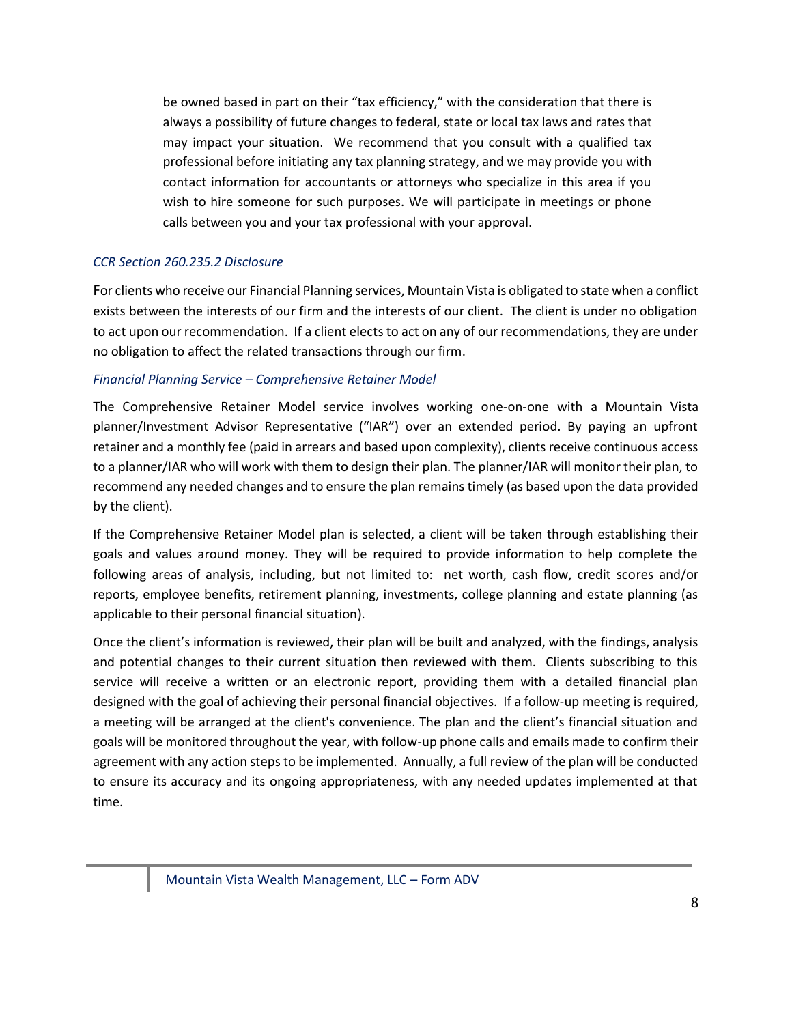be owned based in part on their "tax efficiency," with the consideration that there is always a possibility of future changes to federal, state or local tax laws and rates that may impact your situation. We recommend that you consult with a qualified tax professional before initiating any tax planning strategy, and we may provide you with contact information for accountants or attorneys who specialize in this area if you wish to hire someone for such purposes. We will participate in meetings or phone calls between you and your tax professional with your approval.

#### *CCR Section 260.235.2 Disclosure*

For clients who receive our Financial Planning services, Mountain Vista is obligated to state when a conflict exists between the interests of our firm and the interests of our client. The client is under no obligation to act upon our recommendation. If a client elects to act on any of our recommendations, they are under no obligation to affect the related transactions through our firm.

#### *Financial Planning Service – Comprehensive Retainer Model*

The Comprehensive Retainer Model service involves working one-on-one with a Mountain Vista planner/Investment Advisor Representative ("IAR") over an extended period. By paying an upfront retainer and a monthly fee (paid in arrears and based upon complexity), clients receive continuous access to a planner/IAR who will work with them to design their plan. The planner/IAR will monitor their plan, to recommend any needed changes and to ensure the plan remains timely (as based upon the data provided by the client).

If the Comprehensive Retainer Model plan is selected, a client will be taken through establishing their goals and values around money. They will be required to provide information to help complete the following areas of analysis, including, but not limited to: net worth, cash flow, credit scores and/or reports, employee benefits, retirement planning, investments, college planning and estate planning (as applicable to their personal financial situation).

Once the client's information is reviewed, their plan will be built and analyzed, with the findings, analysis and potential changes to their current situation then reviewed with them. Clients subscribing to this service will receive a written or an electronic report, providing them with a detailed financial plan designed with the goal of achieving their personal financial objectives. If a follow-up meeting is required, a meeting will be arranged at the client's convenience. The plan and the client's financial situation and goals will be monitored throughout the year, with follow-up phone calls and emails made to confirm their agreement with any action steps to be implemented. Annually, a full review of the plan will be conducted to ensure its accuracy and its ongoing appropriateness, with any needed updates implemented at that time.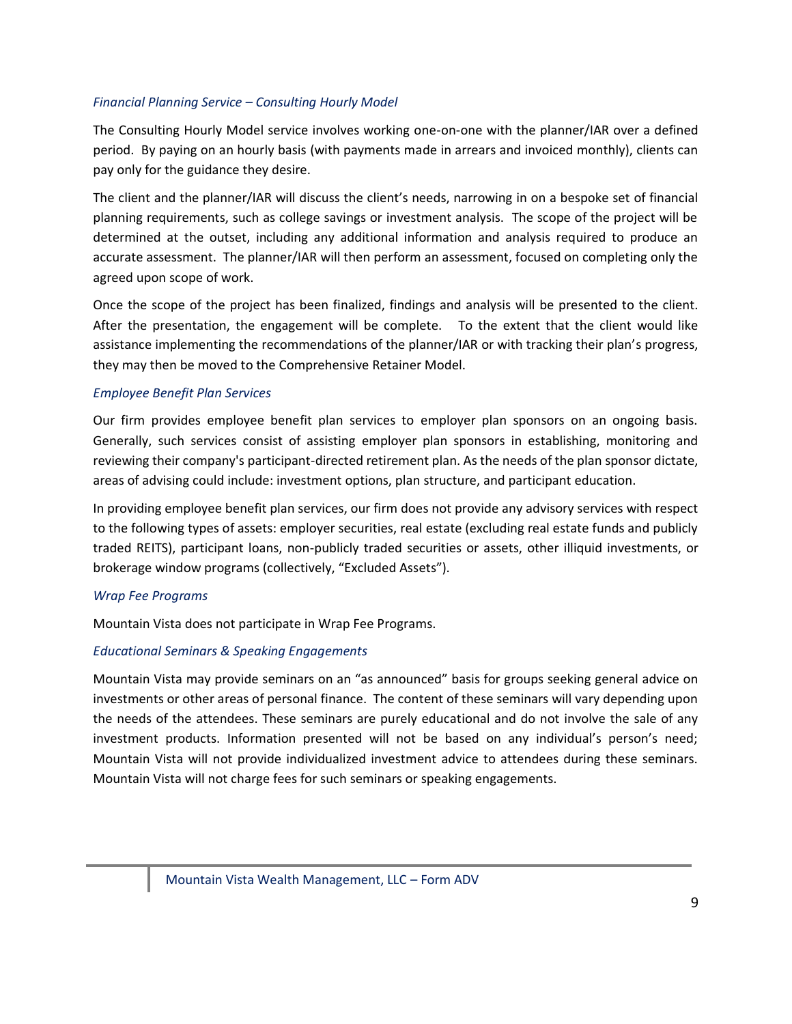#### *Financial Planning Service – Consulting Hourly Model*

The Consulting Hourly Model service involves working one-on-one with the planner/IAR over a defined period. By paying on an hourly basis (with payments made in arrears and invoiced monthly), clients can pay only for the guidance they desire.

The client and the planner/IAR will discuss the client's needs, narrowing in on a bespoke set of financial planning requirements, such as college savings or investment analysis. The scope of the project will be determined at the outset, including any additional information and analysis required to produce an accurate assessment. The planner/IAR will then perform an assessment, focused on completing only the agreed upon scope of work.

Once the scope of the project has been finalized, findings and analysis will be presented to the client. After the presentation, the engagement will be complete. To the extent that the client would like assistance implementing the recommendations of the planner/IAR or with tracking their plan's progress, they may then be moved to the Comprehensive Retainer Model.

#### *Employee Benefit Plan Services*

Our firm provides employee benefit plan services to employer plan sponsors on an ongoing basis. Generally, such services consist of assisting employer plan sponsors in establishing, monitoring and reviewing their company's participant-directed retirement plan. As the needs of the plan sponsor dictate, areas of advising could include: investment options, plan structure, and participant education.

In providing employee benefit plan services, our firm does not provide any advisory services with respect to the following types of assets: employer securities, real estate (excluding real estate funds and publicly traded REITS), participant loans, non-publicly traded securities or assets, other illiquid investments, or brokerage window programs (collectively, "Excluded Assets").

#### *Wrap Fee Programs*

Mountain Vista does not participate in Wrap Fee Programs.

#### *Educational Seminars & Speaking Engagements*

Mountain Vista may provide seminars on an "as announced" basis for groups seeking general advice on investments or other areas of personal finance. The content of these seminars will vary depending upon the needs of the attendees. These seminars are purely educational and do not involve the sale of any investment products. Information presented will not be based on any individual's person's need; Mountain Vista will not provide individualized investment advice to attendees during these seminars. Mountain Vista will not charge fees for such seminars or speaking engagements.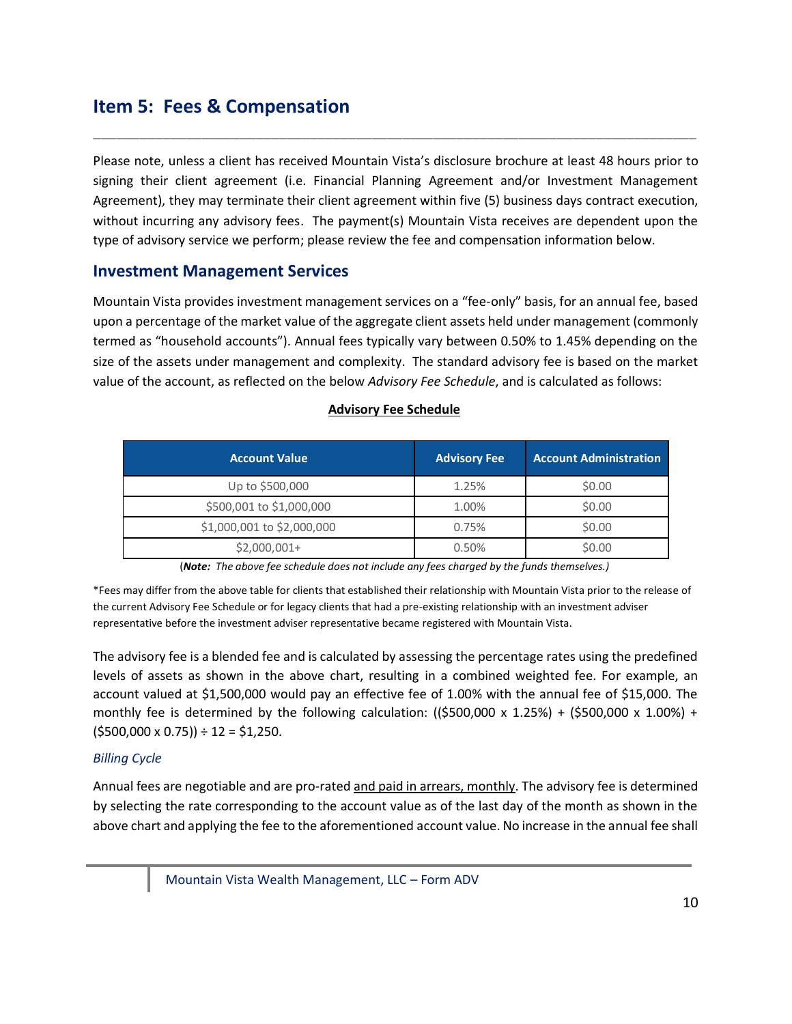# <span id="page-9-0"></span>**Item 5: Fees & Compensation**

Please note, unless a client has received Mountain Vista's disclosure brochure at least 48 hours prior to signing their client agreement (i.e. Financial Planning Agreement and/or Investment Management Agreement), they may terminate their client agreement within five (5) business days contract execution, without incurring any advisory fees. The payment(s) Mountain Vista receives are dependent upon the type of advisory service we perform; please review the fee and compensation information below.

\_\_\_\_\_\_\_\_\_\_\_\_\_\_\_\_\_\_\_\_\_\_\_\_\_\_\_\_\_\_\_\_\_\_\_\_\_\_\_\_\_\_\_\_\_\_\_\_\_\_\_\_\_\_\_\_\_\_\_\_\_\_\_\_\_\_\_\_\_\_\_\_\_\_\_\_\_\_

### **Investment Management Services**

Mountain Vista provides investment management services on a "fee-only" basis, for an annual fee, based upon a percentage of the market value of the aggregate client assets held under management (commonly termed as "household accounts"). Annual fees typically vary between 0.50% to 1.45% depending on the size of the assets under management and complexity. The standard advisory fee is based on the market value of the account, as reflected on the below *Advisory Fee Schedule*, and is calculated as follows:

| <b>Account Value</b>       | <b>Advisory Fee</b> | <b>Account Administration</b> |
|----------------------------|---------------------|-------------------------------|
| Up to \$500,000            | 1.25%               | \$0.00                        |
| \$500,001 to \$1,000,000   | 1.00%               | \$0.00                        |
| \$1,000,001 to \$2,000,000 | 0.75%               | \$0.00                        |
| $$2,000,001+$              | 0.50%               | \$0.00                        |

#### **Advisory Fee Schedule**

(*Note: The above fee schedule does not include any fees charged by the funds themselves.)*

\*Fees may differ from the above table for clients that established their relationship with Mountain Vista prior to the release of the current Advisory Fee Schedule or for legacy clients that had a pre-existing relationship with an investment adviser representative before the investment adviser representative became registered with Mountain Vista.

The advisory fee is a blended fee and is calculated by assessing the percentage rates using the predefined levels of assets as shown in the above chart, resulting in a combined weighted fee. For example, an account valued at \$1,500,000 would pay an effective fee of 1.00% with the annual fee of \$15,000. The monthly fee is determined by the following calculation:  $(\frac{2500,000 \times 1.25\%}{1.25\%}) + (\frac{2500,000 \times 1.00\%}{1.25\%}) + (\frac{2500,000 \times 1.00\%}{1.25\%})$  $( $500,000 \times 0.75)$  ÷ 12 = \$1,250.

#### *Billing Cycle*

Annual fees are negotiable and are pro-rated and paid in arrears, monthly. The advisory fee is determined by selecting the rate corresponding to the account value as of the last day of the month as shown in the above chart and applying the fee to the aforementioned account value. No increase in the annual fee shall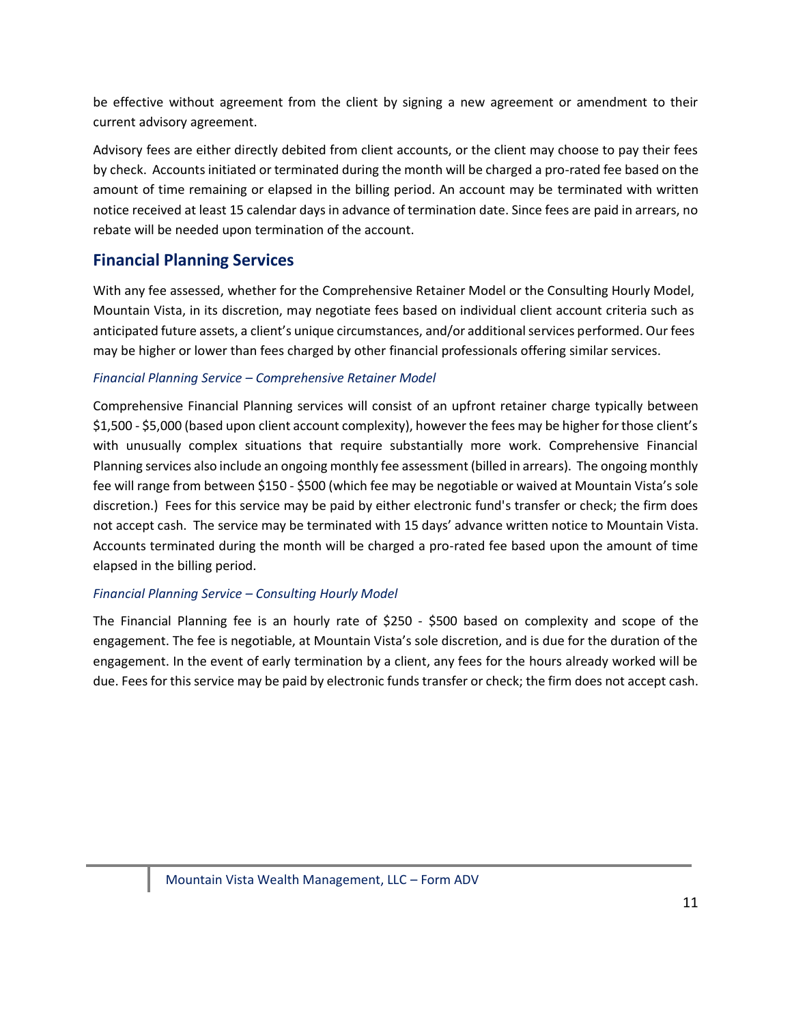be effective without agreement from the client by signing a new agreement or amendment to their current advisory agreement.

Advisory fees are either directly debited from client accounts, or the client may choose to pay their fees by check. Accounts initiated or terminated during the month will be charged a pro-rated fee based on the amount of time remaining or elapsed in the billing period. An account may be terminated with written notice received at least 15 calendar days in advance of termination date. Since fees are paid in arrears, no rebate will be needed upon termination of the account.

## **Financial Planning Services**

With any fee assessed, whether for the Comprehensive Retainer Model or the Consulting Hourly Model, Mountain Vista, in its discretion, may negotiate fees based on individual client account criteria such as anticipated future assets, a client's unique circumstances, and/or additional services performed. Our fees may be higher or lower than fees charged by other financial professionals offering similar services.

#### *Financial Planning Service – Comprehensive Retainer Model*

Comprehensive Financial Planning services will consist of an upfront retainer charge typically between \$1,500 - \$5,000 (based upon client account complexity), however the fees may be higher for those client's with unusually complex situations that require substantially more work. Comprehensive Financial Planning services also include an ongoing monthly fee assessment (billed in arrears). The ongoing monthly fee will range from between \$150 - \$500 (which fee may be negotiable or waived at Mountain Vista's sole discretion.) Fees for this service may be paid by either electronic fund's transfer or check; the firm does not accept cash. The service may be terminated with 15 days' advance written notice to Mountain Vista. Accounts terminated during the month will be charged a pro-rated fee based upon the amount of time elapsed in the billing period.

#### *Financial Planning Service – Consulting Hourly Model*

The Financial Planning fee is an hourly rate of \$250 - \$500 based on complexity and scope of the engagement. The fee is negotiable, at Mountain Vista's sole discretion, and is due for the duration of the engagement. In the event of early termination by a client, any fees for the hours already worked will be due. Fees for this service may be paid by electronic funds transfer or check; the firm does not accept cash.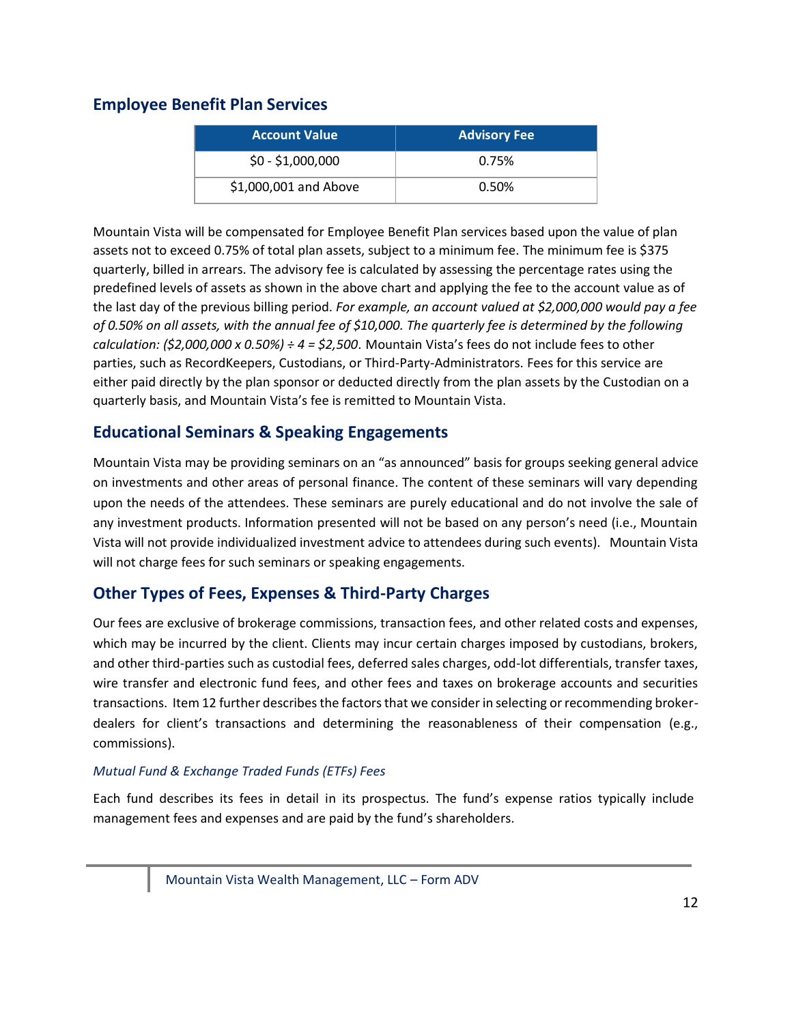### **Employee Benefit Plan Services**

| <b>Account Value</b>  | <b>Advisory Fee</b> |
|-----------------------|---------------------|
| $$0 - $1,000,000$     | 0.75%               |
| \$1,000,001 and Above | 0.50%               |

Mountain Vista will be compensated for Employee Benefit Plan services based upon the value of plan assets not to exceed 0.75% of total plan assets, subject to a minimum fee. The minimum fee is \$375 quarterly, billed in arrears. The advisory fee is calculated by assessing the percentage rates using the predefined levels of assets as shown in the above chart and applying the fee to the account value as of the last day of the previous billing period. *For example, an account valued at \$2,000,000 would pay a fee of 0.50% on all assets, with the annual fee of \$10,000. The quarterly fee is determined by the following calculation: (\$2,000,000 x 0.50%) ÷ 4 = \$2,500*. Mountain Vista's fees do not include fees to other parties, such as RecordKeepers, Custodians, or Third-Party-Administrators. Fees for this service are either paid directly by the plan sponsor or deducted directly from the plan assets by the Custodian on a quarterly basis, and Mountain Vista's fee is remitted to Mountain Vista.

## **Educational Seminars & Speaking Engagements**

Mountain Vista may be providing seminars on an "as announced" basis for groups seeking general advice on investments and other areas of personal finance. The content of these seminars will vary depending upon the needs of the attendees. These seminars are purely educational and do not involve the sale of any investment products. Information presented will not be based on any person's need (i.e., Mountain Vista will not provide individualized investment advice to attendees during such events).Mountain Vista will not charge fees for such seminars or speaking engagements.

### **Other Types of Fees, Expenses & Third-Party Charges**

Our fees are exclusive of brokerage commissions, transaction fees, and other related costs and expenses, which may be incurred by the client. Clients may incur certain charges imposed by custodians, brokers, and other third-parties such as custodial fees, deferred sales charges, odd-lot differentials, transfer taxes, wire transfer and electronic fund fees, and other fees and taxes on brokerage accounts and securities transactions. Item 12 further describes the factors that we consider in selecting or recommending brokerdealers for client's transactions and determining the reasonableness of their compensation (e.g., commissions).

#### *Mutual Fund & Exchange Traded Funds (ETFs) Fees*

Each fund describes its fees in detail in its prospectus. The fund's expense ratios typically include management fees and expenses and are paid by the fund's shareholders.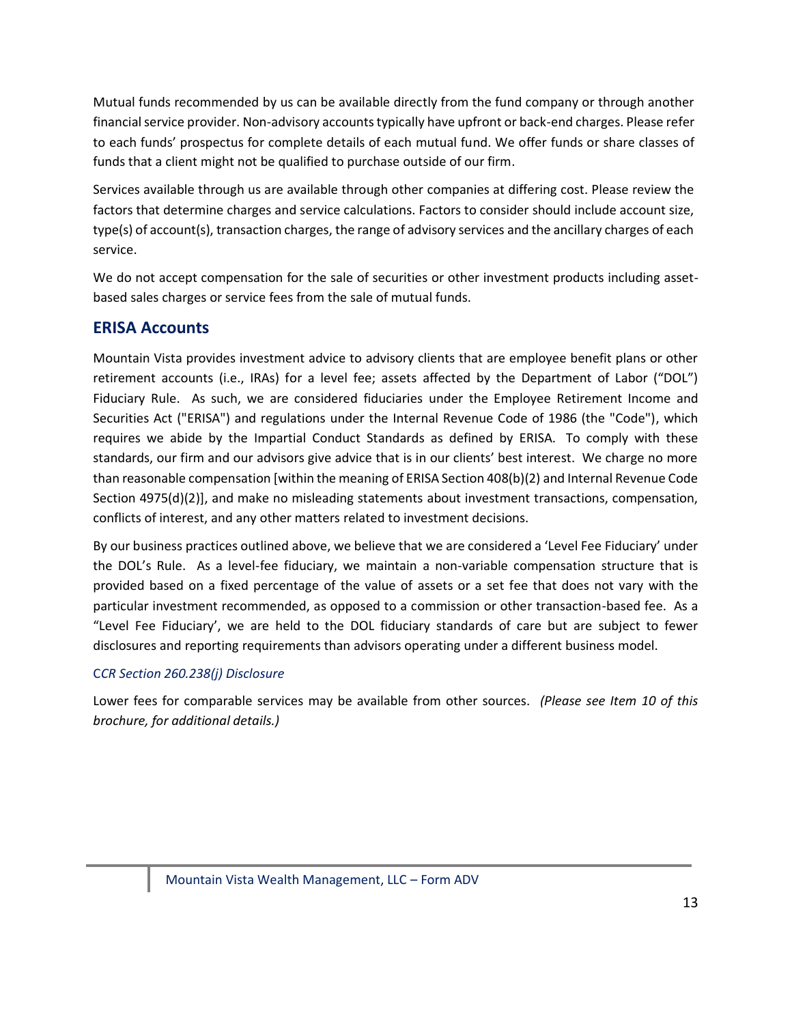Mutual funds recommended by us can be available directly from the fund company or through another financial service provider. Non-advisory accounts typically have upfront or back-end charges. Please refer to each funds' prospectus for complete details of each mutual fund. We offer funds or share classes of funds that a client might not be qualified to purchase outside of our firm.

Services available through us are available through other companies at differing cost. Please review the factors that determine charges and service calculations. Factors to consider should include account size, type(s) of account(s), transaction charges, the range of advisory services and the ancillary charges of each service.

We do not accept compensation for the sale of securities or other investment products including assetbased sales charges or service fees from the sale of mutual funds.

### **ERISA Accounts**

Mountain Vista provides investment advice to advisory clients that are employee benefit plans or other retirement accounts (i.e., IRAs) for a level fee; assets affected by the Department of Labor ("DOL") Fiduciary Rule. As such, we are considered fiduciaries under the Employee Retirement Income and Securities Act ("ERISA") and regulations under the Internal Revenue Code of 1986 (the "Code"), which requires we abide by the Impartial Conduct Standards as defined by ERISA. To comply with these standards, our firm and our advisors give advice that is in our clients' best interest. We charge no more than reasonable compensation [within the meaning of ERISA Section 408(b)(2) and Internal Revenue Code Section 4975(d)(2)], and make no misleading statements about investment transactions, compensation, conflicts of interest, and any other matters related to investment decisions.

By our business practices outlined above, we believe that we are considered a 'Level Fee Fiduciary' under the DOL's Rule. As a level-fee fiduciary, we maintain a non-variable compensation structure that is provided based on a fixed percentage of the value of assets or a set fee that does not vary with the particular investment recommended, as opposed to a commission or other transaction-based fee. As a "Level Fee Fiduciary', we are held to the DOL fiduciary standards of care but are subject to fewer disclosures and reporting requirements than advisors operating under a different business model.

#### C*CR Section 260.238(j) Disclosure*

Lower fees for comparable services may be available from other sources. *(Please see Item 10 of this brochure, for additional details.)*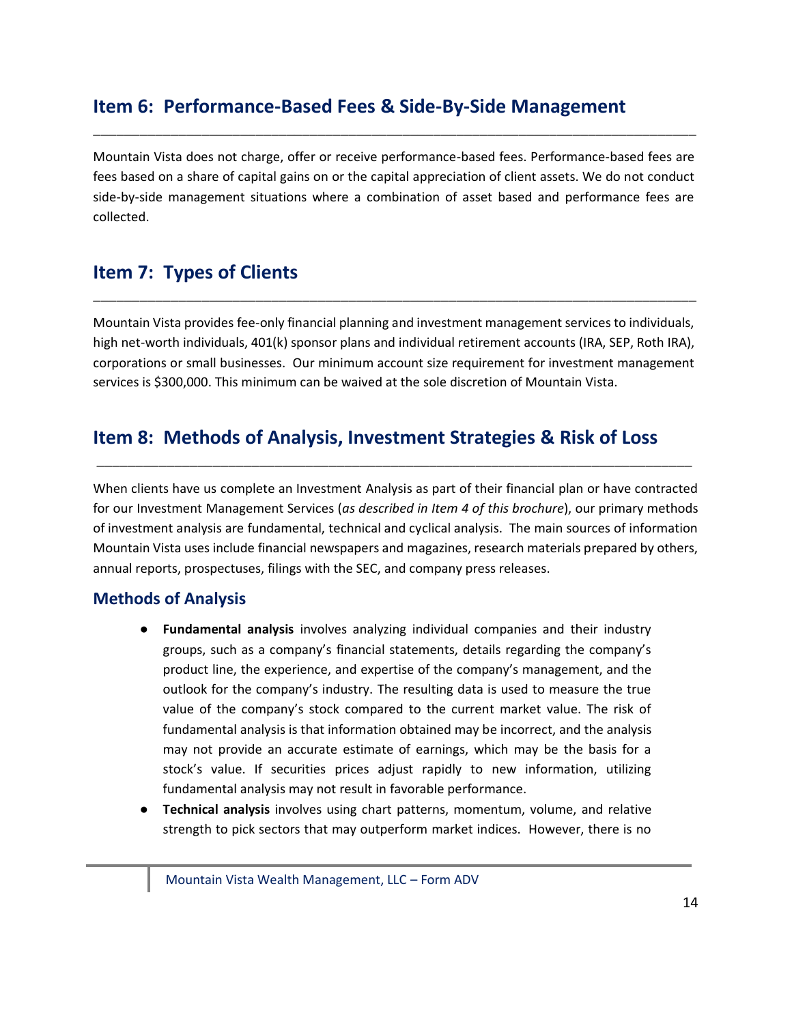# <span id="page-13-0"></span>**Item 6: Performance-Based Fees & Side-By-Side Management**

Mountain Vista does not charge, offer or receive performance-based fees. Performance-based fees are fees based on a share of capital gains on or the capital appreciation of client assets. We do not conduct side-by-side management situations where a combination of asset based and performance fees are collected.

\_\_\_\_\_\_\_\_\_\_\_\_\_\_\_\_\_\_\_\_\_\_\_\_\_\_\_\_\_\_\_\_\_\_\_\_\_\_\_\_\_\_\_\_\_\_\_\_\_\_\_\_\_\_\_\_\_\_\_\_\_\_\_\_\_\_\_\_\_\_\_\_\_\_\_\_\_\_

# <span id="page-13-1"></span>**Item 7: Types of Clients**

Mountain Vista provides fee-only financial planning and investment management services to individuals, high net-worth individuals, 401(k) sponsor plans and individual retirement accounts (IRA, SEP, Roth IRA), corporations or small businesses. Our minimum account size requirement for investment management services is \$300,000. This minimum can be waived at the sole discretion of Mountain Vista.

\_\_\_\_\_\_\_\_\_\_\_\_\_\_\_\_\_\_\_\_\_\_\_\_\_\_\_\_\_\_\_\_\_\_\_\_\_\_\_\_\_\_\_\_\_\_\_\_\_\_\_\_\_\_\_\_\_\_\_\_\_\_\_\_\_\_\_\_\_\_\_\_\_\_\_\_\_\_

# <span id="page-13-2"></span>**Item 8: Methods of Analysis, Investment Strategies & Risk of Loss**

When clients have us complete an Investment Analysis as part of their financial plan or have contracted for our Investment Management Services (*as described in Item 4 of this brochure*), our primary methods of investment analysis are fundamental, technical and cyclical analysis. The main sources of information Mountain Vista uses include financial newspapers and magazines, research materials prepared by others, annual reports, prospectuses, filings with the SEC, and company press releases.

\_\_\_\_\_\_\_\_\_\_\_\_\_\_\_\_\_\_\_\_\_\_\_\_\_\_\_\_\_\_\_\_\_\_\_\_\_\_\_\_\_\_\_\_\_\_\_\_\_\_\_\_\_\_\_\_\_\_\_\_\_\_\_\_\_\_\_\_\_\_\_\_\_\_\_\_\_

### **Methods of Analysis**

- **Fundamental analysis** involves analyzing individual companies and their industry groups, such as a company's financial statements, details regarding the company's product line, the experience, and expertise of the company's management, and the outlook for the company's industry. The resulting data is used to measure the true value of the company's stock compared to the current market value. The risk of fundamental analysis is that information obtained may be incorrect, and the analysis may not provide an accurate estimate of earnings, which may be the basis for a stock's value. If securities prices adjust rapidly to new information, utilizing fundamental analysis may not result in favorable performance.
- **Technical analysis** involves using chart patterns, momentum, volume, and relative strength to pick sectors that may outperform market indices. However, there is no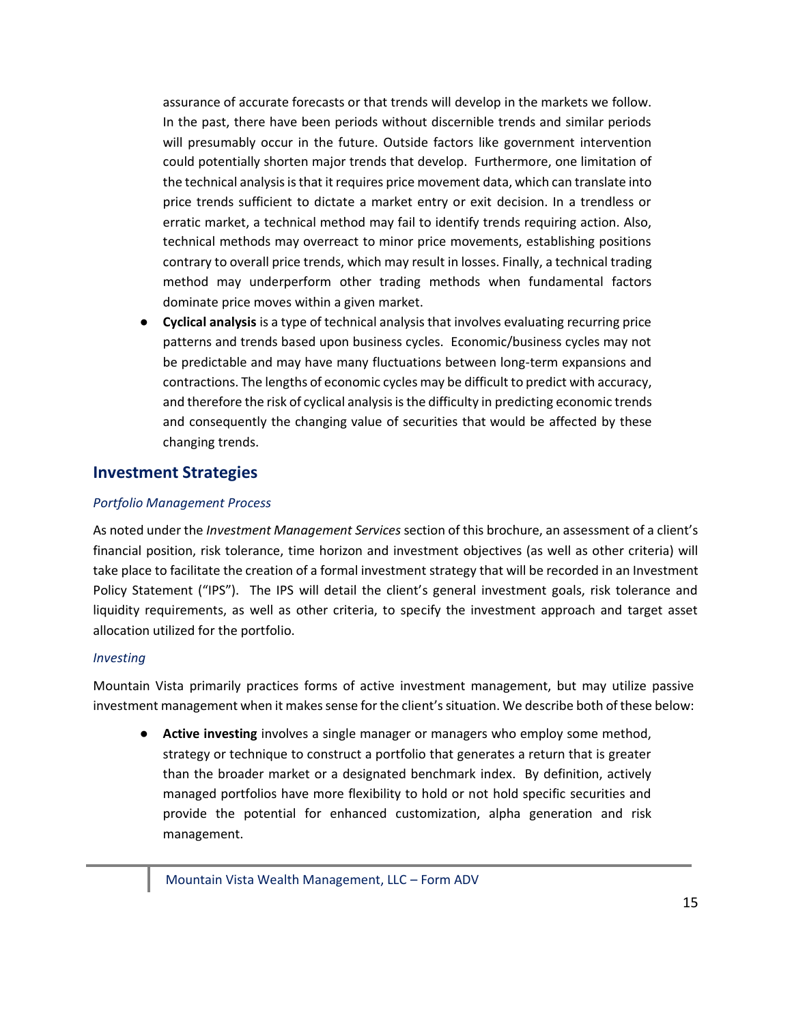assurance of accurate forecasts or that trends will develop in the markets we follow. In the past, there have been periods without discernible trends and similar periods will presumably occur in the future. Outside factors like government intervention could potentially shorten major trends that develop. Furthermore, one limitation of the technical analysis is that it requires price movement data, which can translate into price trends sufficient to dictate a market entry or exit decision. In a trendless or erratic market, a technical method may fail to identify trends requiring action. Also, technical methods may overreact to minor price movements, establishing positions contrary to overall price trends, which may result in losses. Finally, a technical trading method may underperform other trading methods when fundamental factors dominate price moves within a given market.

● **Cyclical analysis** is a type of technical analysis that involves evaluating recurring price patterns and trends based upon business cycles. Economic/business cycles may not be predictable and may have many fluctuations between long-term expansions and contractions. The lengths of economic cycles may be difficult to predict with accuracy, and therefore the risk of cyclical analysis is the difficulty in predicting economic trends and consequently the changing value of securities that would be affected by these changing trends.

#### **Investment Strategies**

#### *Portfolio Management Process*

As noted under the *Investment Management Services* section of this brochure, an assessment of a client's financial position, risk tolerance, time horizon and investment objectives (as well as other criteria) will take place to facilitate the creation of a formal investment strategy that will be recorded in an Investment Policy Statement ("IPS"). The IPS will detail the client's general investment goals, risk tolerance and liquidity requirements, as well as other criteria, to specify the investment approach and target asset allocation utilized for the portfolio.

#### *Investing*

Mountain Vista primarily practices forms of active investment management, but may utilize passive investment management when it makes sense for the client's situation. We describe both of these below:

**• Active investing** involves a single manager or managers who employ some method, strategy or technique to construct a portfolio that generates a return that is greater than the broader market or a designated benchmark index. By definition, actively managed portfolios have more flexibility to hold or not hold specific securities and provide the potential for enhanced customization, alpha generation and risk management.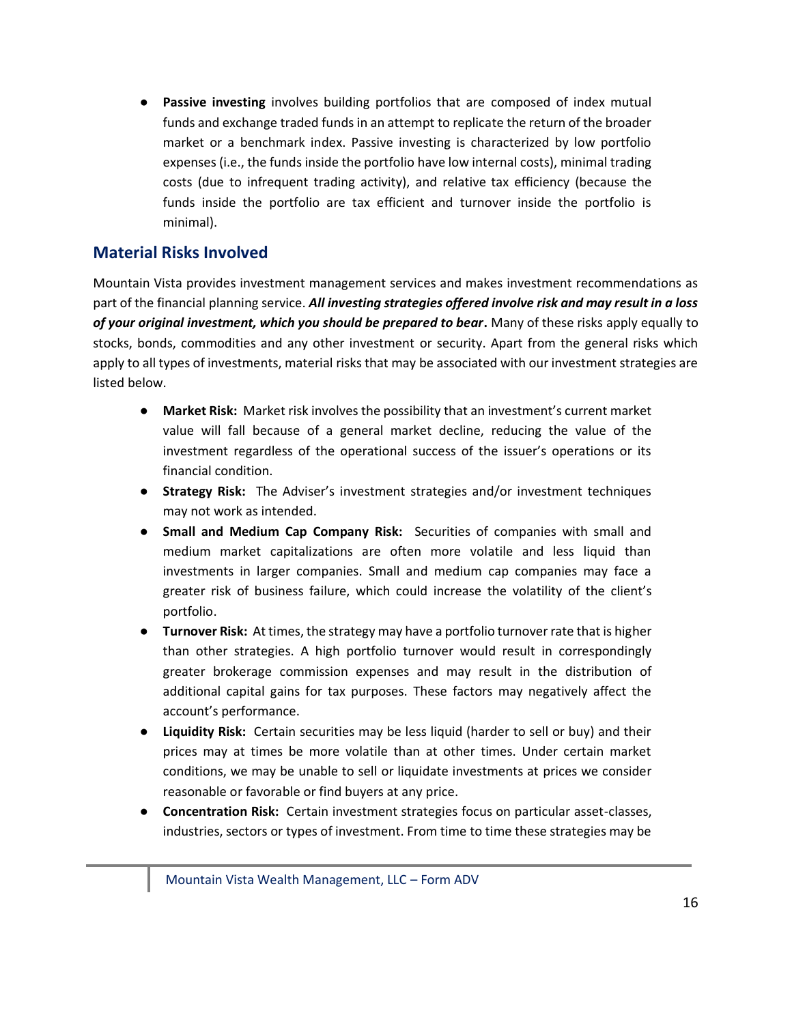● **Passive investing** involves building portfolios that are composed of index mutual funds and exchange traded funds in an attempt to replicate the return of the broader market or a benchmark index. Passive investing is characterized by low portfolio expenses (i.e., the funds inside the portfolio have low internal costs), minimal trading costs (due to infrequent trading activity), and relative tax efficiency (because the funds inside the portfolio are tax efficient and turnover inside the portfolio is minimal).

### **Material Risks Involved**

Mountain Vista provides investment management services and makes investment recommendations as part of the financial planning service. *All investing strategies offered involve risk and may result in a loss of your original investment, which you should be prepared to bear***.** Many of these risks apply equally to stocks, bonds, commodities and any other investment or security. Apart from the general risks which apply to all types of investments, material risks that may be associated with our investment strategies are listed below.

- **Market Risk:**Market risk involves the possibility that an investment's current market value will fall because of a general market decline, reducing the value of the investment regardless of the operational success of the issuer's operations or its financial condition.
- **Strategy Risk:** The Adviser's investment strategies and/or investment techniques may not work as intended.
- **Small and Medium Cap Company Risk:** Securities of companies with small and medium market capitalizations are often more volatile and less liquid than investments in larger companies. Small and medium cap companies may face a greater risk of business failure, which could increase the volatility of the client's portfolio.
- **Turnover Risk:** At times, the strategy may have a portfolio turnover rate that is higher than other strategies. A high portfolio turnover would result in correspondingly greater brokerage commission expenses and may result in the distribution of additional capital gains for tax purposes. These factors may negatively affect the account's performance.
- **Liquidity Risk:** Certain securities may be less liquid (harder to sell or buy) and their prices may at times be more volatile than at other times. Under certain market conditions, we may be unable to sell or liquidate investments at prices we consider reasonable or favorable or find buyers at any price.
- **Concentration Risk:** Certain investment strategies focus on particular asset-classes, industries, sectors or types of investment. From time to time these strategies may be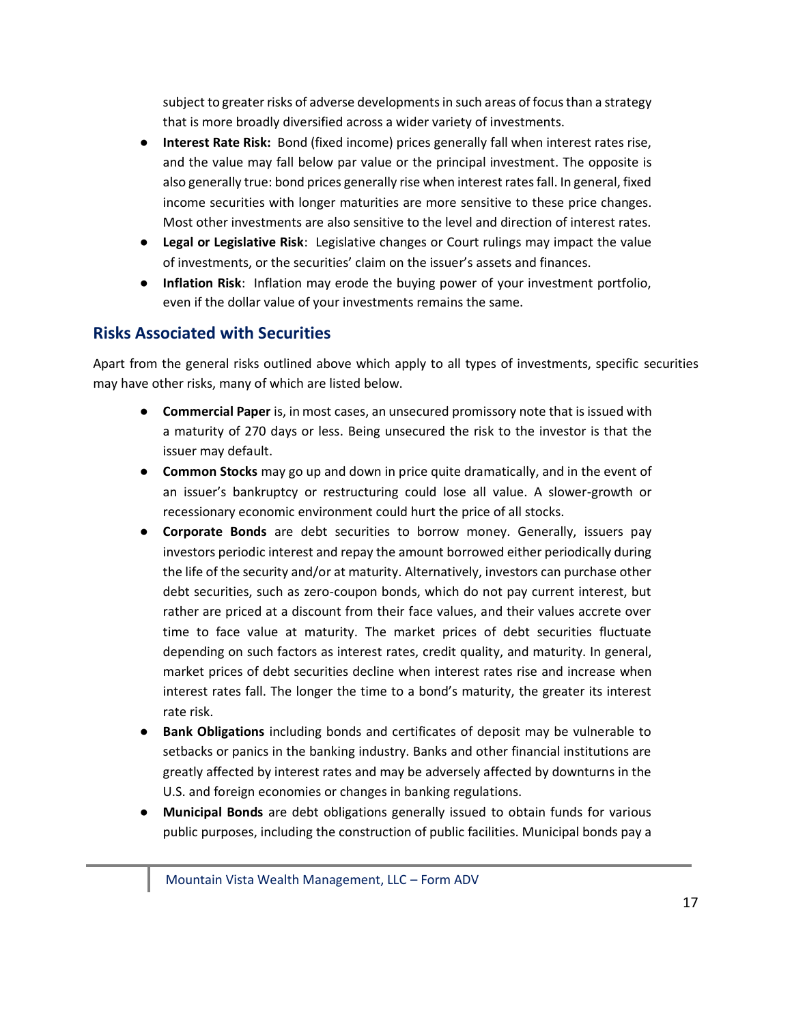subject to greater risks of adverse developments in such areas of focus than a strategy that is more broadly diversified across a wider variety of investments.

- **Interest Rate Risk:** Bond (fixed income) prices generally fall when interest rates rise, and the value may fall below par value or the principal investment. The opposite is also generally true: bond prices generally rise when interest rates fall. In general, fixed income securities with longer maturities are more sensitive to these price changes. Most other investments are also sensitive to the level and direction of interest rates.
- **Legal or Legislative Risk**: Legislative changes or Court rulings may impact the value of investments, or the securities' claim on the issuer's assets and finances.
- **Inflation Risk**: Inflation may erode the buying power of your investment portfolio, even if the dollar value of your investments remains the same.

## **Risks Associated with Securities**

Apart from the general risks outlined above which apply to all types of investments, specific securities may have other risks, many of which are listed below.

- **Commercial Paper** is, in most cases, an unsecured promissory note that is issued with a maturity of 270 days or less. Being unsecured the risk to the investor is that the issuer may default.
- **Common Stocks** may go up and down in price quite dramatically, and in the event of an issuer's bankruptcy or restructuring could lose all value. A slower-growth or recessionary economic environment could hurt the price of all stocks.
- **Corporate Bonds** are debt securities to borrow money. Generally, issuers pay investors periodic interest and repay the amount borrowed either periodically during the life of the security and/or at maturity. Alternatively, investors can purchase other debt securities, such as zero-coupon bonds, which do not pay current interest, but rather are priced at a discount from their face values, and their values accrete over time to face value at maturity. The market prices of debt securities fluctuate depending on such factors as interest rates, credit quality, and maturity. In general, market prices of debt securities decline when interest rates rise and increase when interest rates fall. The longer the time to a bond's maturity, the greater its interest rate risk.
- **Bank Obligations** including bonds and certificates of deposit may be vulnerable to setbacks or panics in the banking industry. Banks and other financial institutions are greatly affected by interest rates and may be adversely affected by downturns in the U.S. and foreign economies or changes in banking regulations.
- **Municipal Bonds** are debt obligations generally issued to obtain funds for various public purposes, including the construction of public facilities. Municipal bonds pay a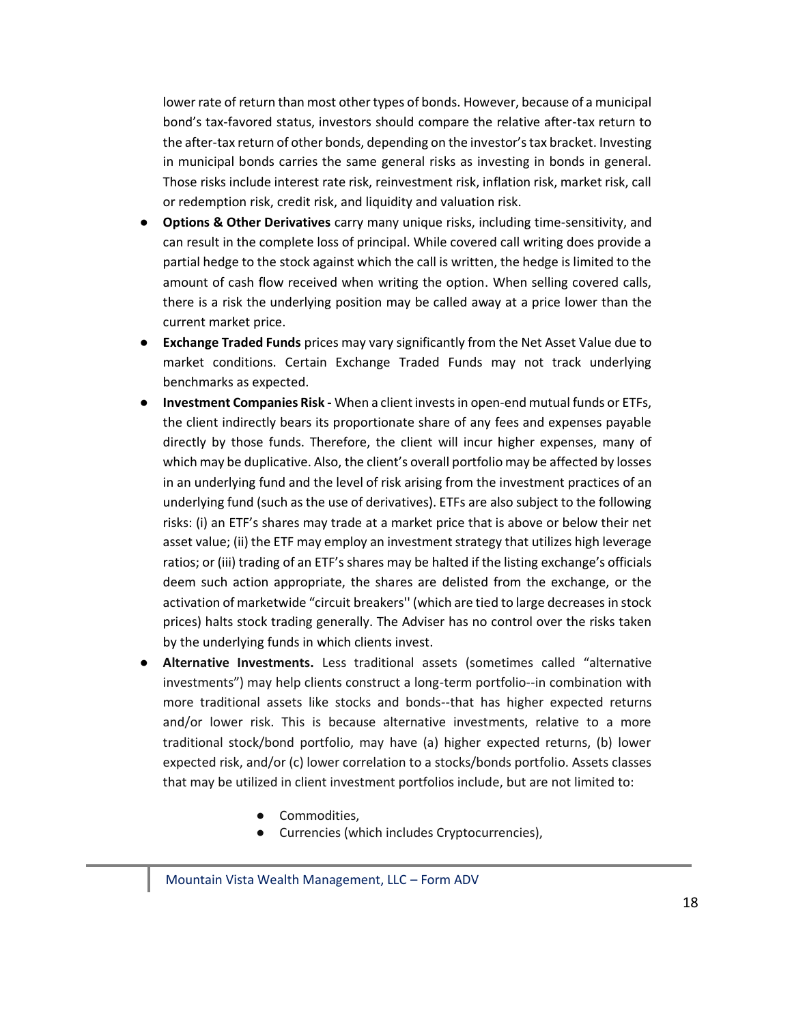lower rate of return than most other types of bonds. However, because of a municipal bond's tax-favored status, investors should compare the relative after-tax return to the after-tax return of other bonds, depending on the investor's tax bracket. Investing in municipal bonds carries the same general risks as investing in bonds in general. Those risks include interest rate risk, reinvestment risk, inflation risk, market risk, call or redemption risk, credit risk, and liquidity and valuation risk.

- **Options & Other Derivatives** carry many unique risks, including time-sensitivity, and can result in the complete loss of principal. While covered call writing does provide a partial hedge to the stock against which the call is written, the hedge is limited to the amount of cash flow received when writing the option. When selling covered calls, there is a risk the underlying position may be called away at a price lower than the current market price.
- **Exchange Traded Funds** prices may vary significantly from the Net Asset Value due to market conditions. Certain Exchange Traded Funds may not track underlying benchmarks as expected.
- **Investment Companies Risk -** When a client invests in open-end mutual funds or ETFs, the client indirectly bears its proportionate share of any fees and expenses payable directly by those funds. Therefore, the client will incur higher expenses, many of which may be duplicative. Also, the client's overall portfolio may be affected by losses in an underlying fund and the level of risk arising from the investment practices of an underlying fund (such as the use of derivatives). ETFs are also subject to the following risks: (i) an ETF's shares may trade at a market price that is above or below their net asset value; (ii) the ETF may employ an investment strategy that utilizes high leverage ratios; or (iii) trading of an ETF's shares may be halted if the listing exchange's officials deem such action appropriate, the shares are delisted from the exchange, or the activation of marketwide "circuit breakers'' (which are tied to large decreases in stock prices) halts stock trading generally. The Adviser has no control over the risks taken by the underlying funds in which clients invest.
- **Alternative Investments.** Less traditional assets (sometimes called "alternative investments") may help clients construct a long-term portfolio--in combination with more traditional assets like stocks and bonds--that has higher expected returns and/or lower risk. This is because alternative investments, relative to a more traditional stock/bond portfolio, may have (a) higher expected returns, (b) lower expected risk, and/or (c) lower correlation to a stocks/bonds portfolio. Assets classes that may be utilized in client investment portfolios include, but are not limited to:
	- Commodities,
	- Currencies (which includes Cryptocurrencies),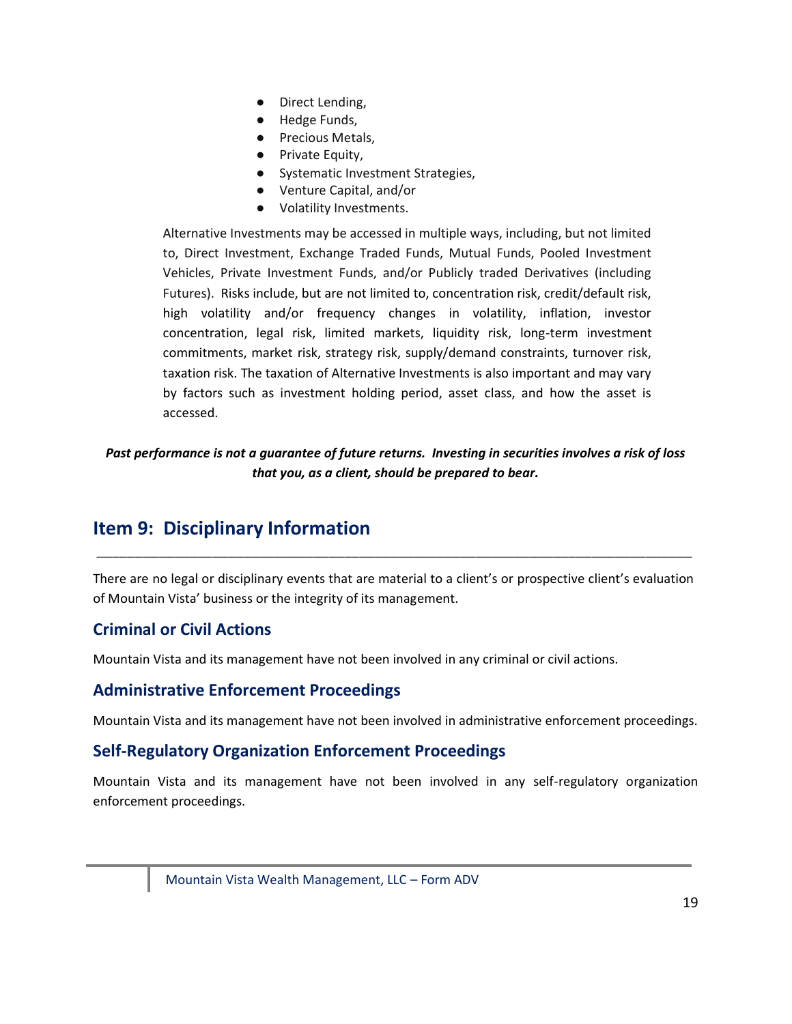- Direct Lending,
- Hedge Funds,
- Precious Metals,
- Private Equity,
- Systematic Investment Strategies,
- Venture Capital, and/or
- Volatility Investments.

Alternative Investments may be accessed in multiple ways, including, but not limited to, Direct Investment, Exchange Traded Funds, Mutual Funds, Pooled Investment Vehicles, Private Investment Funds, and/or Publicly traded Derivatives (including Futures). Risks include, but are not limited to, concentration risk, credit/default risk, high volatility and/or frequency changes in volatility, inflation, investor concentration, legal risk, limited markets, liquidity risk, long-term investment commitments, market risk, strategy risk, supply/demand constraints, turnover risk, taxation risk. The taxation of Alternative Investments is also important and may vary by factors such as investment holding period, asset class, and how the asset is accessed.

*Past performance is not a guarantee of future returns. Investing in securities involves a risk of loss that you, as a client, should be prepared to bear.*

# <span id="page-18-0"></span>**Item 9: Disciplinary Information**

There are no legal or disciplinary events that are material to a client's or prospective client's evaluation of Mountain Vista' business or the integrity of its management.

\_\_\_\_\_\_\_\_\_\_\_\_\_\_\_\_\_\_\_\_\_\_\_\_\_\_\_\_\_\_\_\_\_\_\_\_\_\_\_\_\_\_\_\_\_\_\_\_\_\_\_\_\_\_\_\_\_\_\_\_\_\_\_\_\_\_\_\_\_\_\_\_\_\_\_\_\_

### **Criminal or Civil Actions**

Mountain Vista and its management have not been involved in any criminal or civil actions.

### **Administrative Enforcement Proceedings**

Mountain Vista and its management have not been involved in administrative enforcement proceedings.

### **Self-Regulatory Organization Enforcement Proceedings**

Mountain Vista and its management have not been involved in any self-regulatory organization enforcement proceedings.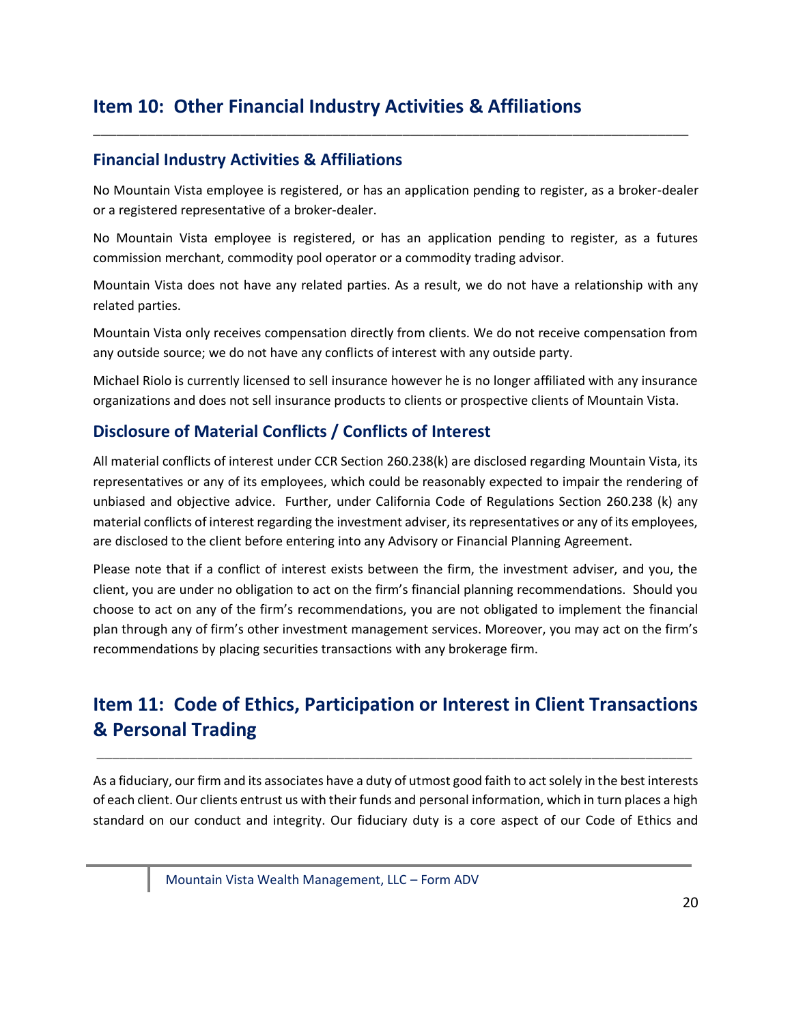# <span id="page-19-0"></span>**Item 10: Other Financial Industry Activities & Affiliations**

### **Financial Industry Activities & Affiliations**

No Mountain Vista employee is registered, or has an application pending to register, as a broker-dealer or a registered representative of a broker-dealer.

\_\_\_\_\_\_\_\_\_\_\_\_\_\_\_\_\_\_\_\_\_\_\_\_\_\_\_\_\_\_\_\_\_\_\_\_\_\_\_\_\_\_\_\_\_\_\_\_\_\_\_\_\_\_\_\_\_\_\_\_\_\_\_\_\_\_\_\_\_\_\_\_\_\_\_\_\_

No Mountain Vista employee is registered, or has an application pending to register, as a futures commission merchant, commodity pool operator or a commodity trading advisor.

Mountain Vista does not have any related parties. As a result, we do not have a relationship with any related parties.

Mountain Vista only receives compensation directly from clients. We do not receive compensation from any outside source; we do not have any conflicts of interest with any outside party.

Michael Riolo is currently licensed to sell insurance however he is no longer affiliated with any insurance organizations and does not sell insurance products to clients or prospective clients of Mountain Vista.

### **Disclosure of Material Conflicts / Conflicts of Interest**

All material conflicts of interest under CCR Section 260.238(k) are disclosed regarding Mountain Vista, its representatives or any of its employees, which could be reasonably expected to impair the rendering of unbiased and objective advice. Further, under California Code of Regulations Section 260.238 (k) any material conflicts of interest regarding the investment adviser, its representatives or any of its employees, are disclosed to the client before entering into any Advisory or Financial Planning Agreement.

Please note that if a conflict of interest exists between the firm, the investment adviser, and you, the client, you are under no obligation to act on the firm's financial planning recommendations. Should you choose to act on any of the firm's recommendations, you are not obligated to implement the financial plan through any of firm's other investment management services. Moreover, you may act on the firm's recommendations by placing securities transactions with any brokerage firm.

# <span id="page-19-1"></span>**Item 11: Code of Ethics, Participation or Interest in Client Transactions & Personal Trading**

\_\_\_\_\_\_\_\_\_\_\_\_\_\_\_\_\_\_\_\_\_\_\_\_\_\_\_\_\_\_\_\_\_\_\_\_\_\_\_\_\_\_\_\_\_\_\_\_\_\_\_\_\_\_\_\_\_\_\_\_\_\_\_\_\_\_\_\_\_\_\_\_\_\_\_\_\_

As a fiduciary, our firm and its associates have a duty of utmost good faith to act solely in the best interests of each client. Our clients entrust us with their funds and personal information, which in turn places a high standard on our conduct and integrity. Our fiduciary duty is a core aspect of our Code of Ethics and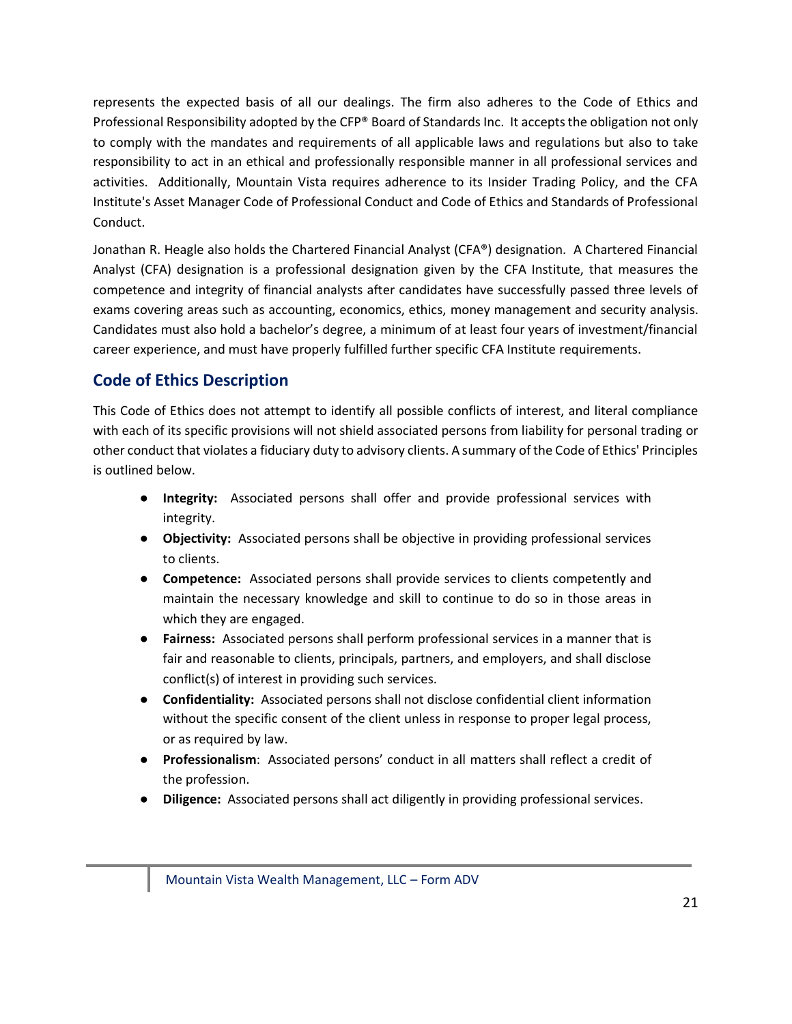represents the expected basis of all our dealings. The firm also adheres to the Code of Ethics and Professional Responsibility adopted by the CFP® Board of Standards Inc. It accepts the obligation not only to comply with the mandates and requirements of all applicable laws and regulations but also to take responsibility to act in an ethical and professionally responsible manner in all professional services and activities. Additionally, Mountain Vista requires adherence to its Insider Trading Policy, and the CFA Institute's Asset Manager Code of Professional Conduct and Code of Ethics and Standards of Professional Conduct.

Jonathan R. Heagle also holds the Chartered Financial Analyst (CFA®) designation. A Chartered Financial Analyst (CFA) designation is a professional designation given by the CFA Institute, that measures the competence and integrity of financial analysts after candidates have successfully passed three levels of exams covering areas such as accounting, economics, ethics, [money management](http://www.investopedia.com/terms/m/moneymanagement.asp) and security analysis. Candidates must also hold a bachelor's degree, a minimum of at least four years of investment/financial career experience, and must have properly fulfilled further specific CFA Institute requirements.

# **Code of Ethics Description**

This Code of Ethics does not attempt to identify all possible conflicts of interest, and literal compliance with each of its specific provisions will not shield associated persons from liability for personal trading or other conduct that violates a fiduciary duty to advisory clients. A summary of the Code of Ethics' Principles is outlined below.

- **Integrity:** Associated persons shall offer and provide professional services with integrity.
- **Objectivity:** Associated persons shall be objective in providing professional services to clients.
- **Competence:** Associated persons shall provide services to clients competently and maintain the necessary knowledge and skill to continue to do so in those areas in which they are engaged.
- **Fairness:** Associated persons shall perform professional services in a manner that is fair and reasonable to clients, principals, partners, and employers, and shall disclose conflict(s) of interest in providing such services.
- **Confidentiality:** Associated persons shall not disclose confidential client information without the specific consent of the client unless in response to proper legal process, or as required by law.
- **Professionalism**: Associated persons' conduct in all matters shall reflect a credit of the profession.
- **Diligence:** Associated persons shall act diligently in providing professional services.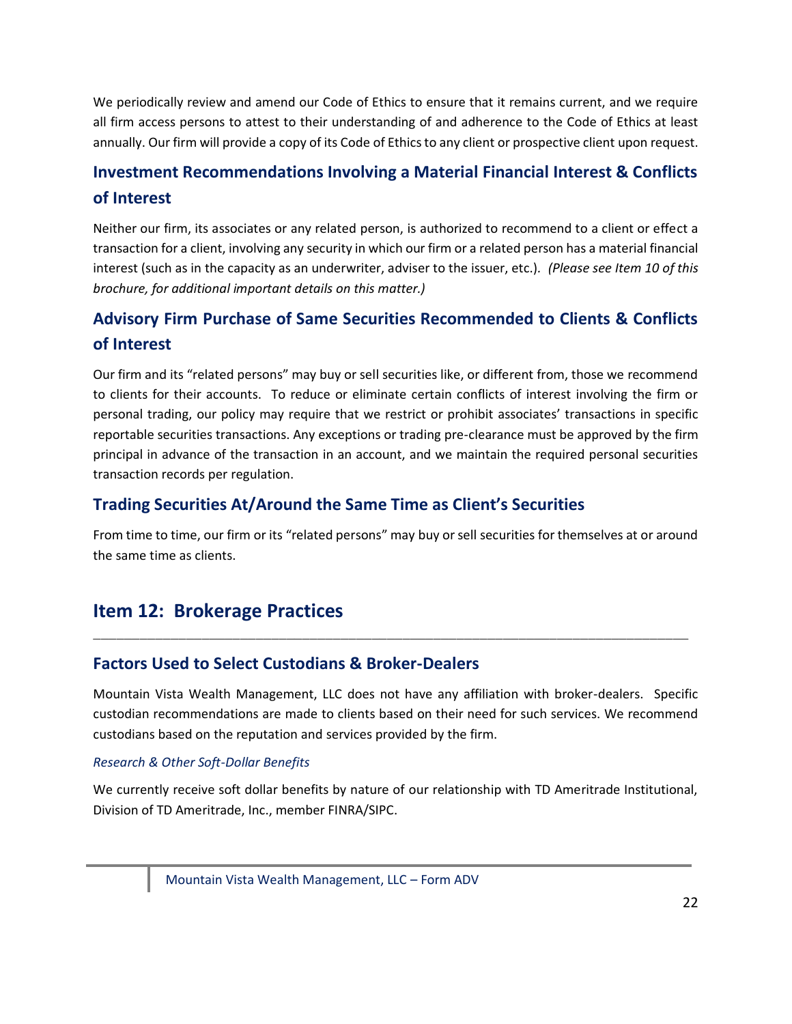We periodically review and amend our Code of Ethics to ensure that it remains current, and we require all firm access persons to attest to their understanding of and adherence to the Code of Ethics at least annually. Our firm will provide a copy of its Code of Ethics to any client or prospective client upon request.

# **Investment Recommendations Involving a Material Financial Interest & Conflicts of Interest**

Neither our firm, its associates or any related person, is authorized to recommend to a client or effect a transaction for a client, involving any security in which our firm or a related person has a material financial interest (such as in the capacity as an underwriter, adviser to the issuer, etc.)*. (Please see Item 10 of this brochure, for additional important details on this matter.)*

# **Advisory Firm Purchase of Same Securities Recommended to Clients & Conflicts of Interest**

Our firm and its "related persons" may buy or sell securities like, or different from, those we recommend to clients for their accounts. To reduce or eliminate certain conflicts of interest involving the firm or personal trading, our policy may require that we restrict or prohibit associates' transactions in specific reportable securities transactions. Any exceptions or trading pre-clearance must be approved by the firm principal in advance of the transaction in an account, and we maintain the required personal securities transaction records per regulation.

### **Trading Securities At/Around the Same Time as Client's Securities**

From time to time, our firm or its "related persons" may buy or sell securities for themselves at or around the same time as clients.

# <span id="page-21-0"></span>**Item 12: Brokerage Practices**

### **Factors Used to Select Custodians & Broker-Dealers**

Mountain Vista Wealth Management, LLC does not have any affiliation with broker-dealers. Specific custodian recommendations are made to clients based on their need for such services. We recommend custodians based on the reputation and services provided by the firm.

\_\_\_\_\_\_\_\_\_\_\_\_\_\_\_\_\_\_\_\_\_\_\_\_\_\_\_\_\_\_\_\_\_\_\_\_\_\_\_\_\_\_\_\_\_\_\_\_\_\_\_\_\_\_\_\_\_\_\_\_\_\_\_\_\_\_\_\_\_\_\_\_\_\_\_\_\_

#### *Research & Other Soft-Dollar Benefits*

We currently receive soft dollar benefits by nature of our relationship with TD Ameritrade Institutional, Division of TD Ameritrade, Inc., member FINRA/SIPC.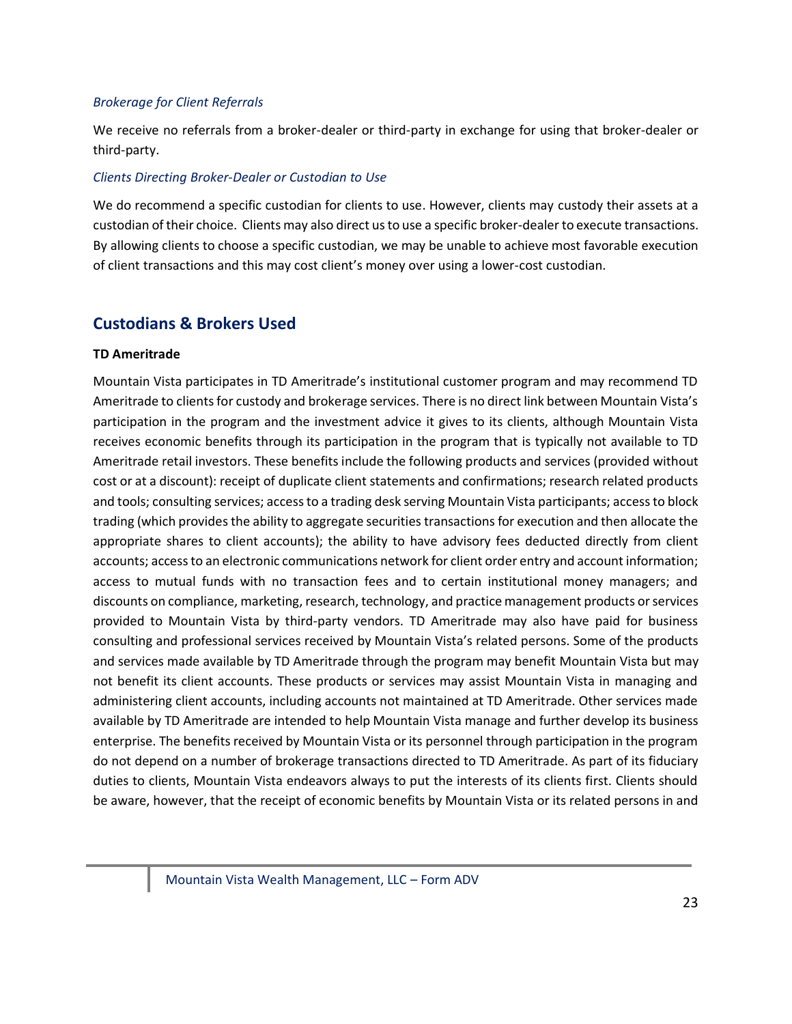#### *Brokerage for Client Referrals*

We receive no referrals from a broker-dealer or third-party in exchange for using that broker-dealer or third-party.

#### *Clients Directing Broker-Dealer or Custodian to Use*

We do recommend a specific custodian for clients to use. However, clients may custody their assets at a custodian of their choice. Clients may also direct us to use a specific broker-dealer to execute transactions. By allowing clients to choose a specific custodian, we may be unable to achieve most favorable execution of client transactions and this may cost client's money over using a lower-cost custodian.

### **Custodians & Brokers Used**

#### **TD Ameritrade**

Mountain Vista participates in TD Ameritrade's institutional customer program and may recommend TD Ameritrade to clients for custody and brokerage services. There is no direct link between Mountain Vista's participation in the program and the investment advice it gives to its clients, although Mountain Vista receives economic benefits through its participation in the program that is typically not available to TD Ameritrade retail investors. These benefits include the following products and services (provided without cost or at a discount): receipt of duplicate client statements and confirmations; research related products and tools; consulting services; access to a trading desk serving Mountain Vista participants; access to block trading (which provides the ability to aggregate securities transactions for execution and then allocate the appropriate shares to client accounts); the ability to have advisory fees deducted directly from client accounts; access to an electronic communications network for client order entry and account information; access to mutual funds with no transaction fees and to certain institutional money managers; and discounts on compliance, marketing, research, technology, and practice management products or services provided to Mountain Vista by third-party vendors. TD Ameritrade may also have paid for business consulting and professional services received by Mountain Vista's related persons. Some of the products and services made available by TD Ameritrade through the program may benefit Mountain Vista but may not benefit its client accounts. These products or services may assist Mountain Vista in managing and administering client accounts, including accounts not maintained at TD Ameritrade. Other services made available by TD Ameritrade are intended to help Mountain Vista manage and further develop its business enterprise. The benefits received by Mountain Vista or its personnel through participation in the program do not depend on a number of brokerage transactions directed to TD Ameritrade. As part of its fiduciary duties to clients, Mountain Vista endeavors always to put the interests of its clients first. Clients should be aware, however, that the receipt of economic benefits by Mountain Vista or its related persons in and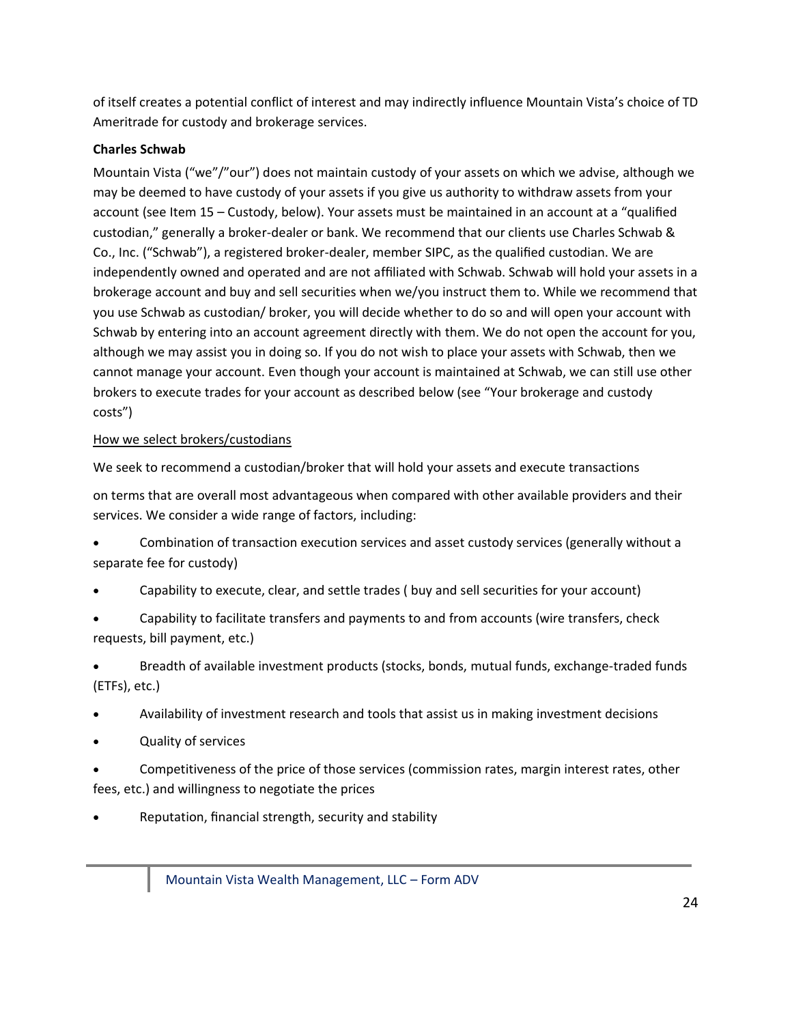of itself creates a potential conflict of interest and may indirectly influence Mountain Vista's choice of TD Ameritrade for custody and brokerage services.

#### **Charles Schwab**

Mountain Vista ("we"/"our") does not maintain custody of your assets on which we advise, although we may be deemed to have custody of your assets if you give us authority to withdraw assets from your account (see Item 15 – Custody, below). Your assets must be maintained in an account at a "qualified custodian," generally a broker-dealer or bank. We recommend that our clients use Charles Schwab & Co., Inc. ("Schwab"), a registered broker-dealer, member SIPC, as the qualified custodian. We are independently owned and operated and are not affiliated with Schwab. Schwab will hold your assets in a brokerage account and buy and sell securities when we/you instruct them to. While we recommend that you use Schwab as custodian/ broker, you will decide whether to do so and will open your account with Schwab by entering into an account agreement directly with them. We do not open the account for you, although we may assist you in doing so. If you do not wish to place your assets with Schwab, then we cannot manage your account. Even though your account is maintained at Schwab, we can still use other brokers to execute trades for your account as described below (see "Your brokerage and custody costs")

#### How we select brokers/custodians

We seek to recommend a custodian/broker that will hold your assets and execute transactions

on terms that are overall most advantageous when compared with other available providers and their services. We consider a wide range of factors, including:

• Combination of transaction execution services and asset custody services (generally without a separate fee for custody)

- Capability to execute, clear, and settle trades ( buy and sell securities for your account)
- Capability to facilitate transfers and payments to and from accounts (wire transfers, check requests, bill payment, etc.)

• Breadth of available investment products (stocks, bonds, mutual funds, exchange-traded funds (ETFs), etc.)

- Availability of investment research and tools that assist us in making investment decisions
- Quality of services
- Competitiveness of the price of those services (commission rates, margin interest rates, other fees, etc.) and willingness to negotiate the prices
- Reputation, financial strength, security and stability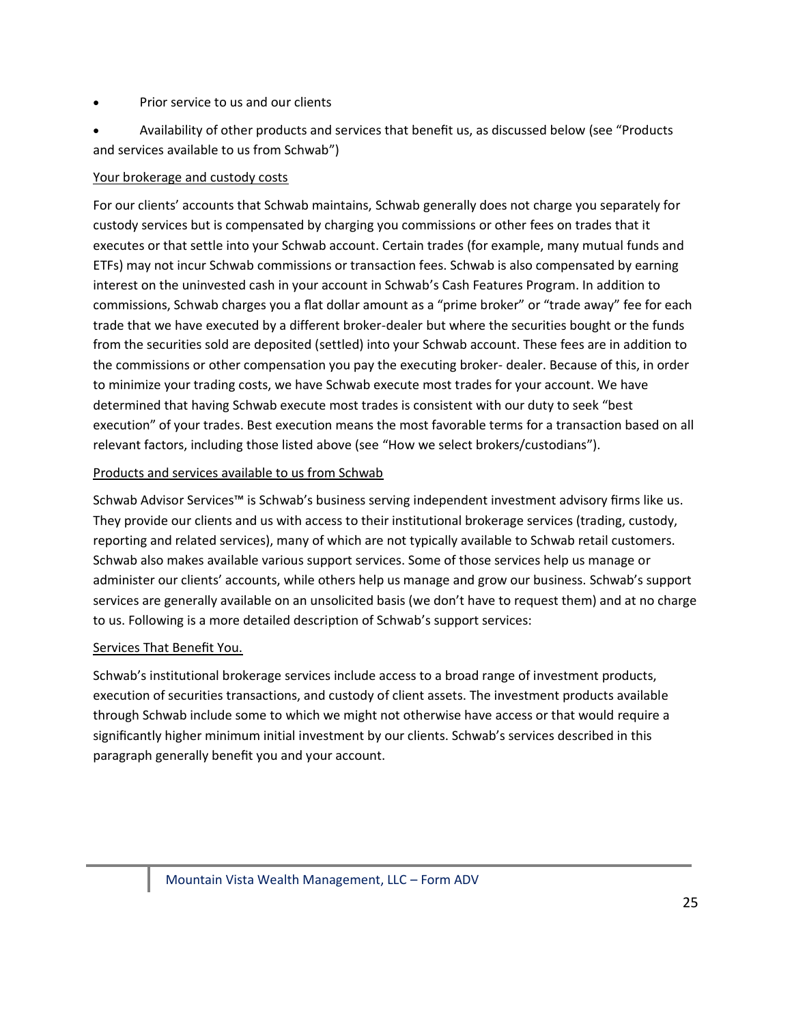#### • Prior service to us and our clients

• Availability of other products and services that benefit us, as discussed below (see "Products and services available to us from Schwab")

#### Your brokerage and custody costs

For our clients' accounts that Schwab maintains, Schwab generally does not charge you separately for custody services but is compensated by charging you commissions or other fees on trades that it executes or that settle into your Schwab account. Certain trades (for example, many mutual funds and ETFs) may not incur Schwab commissions or transaction fees. Schwab is also compensated by earning interest on the uninvested cash in your account in Schwab's Cash Features Program. In addition to commissions, Schwab charges you a flat dollar amount as a "prime broker" or "trade away" fee for each trade that we have executed by a different broker-dealer but where the securities bought or the funds from the securities sold are deposited (settled) into your Schwab account. These fees are in addition to the commissions or other compensation you pay the executing broker- dealer. Because of this, in order to minimize your trading costs, we have Schwab execute most trades for your account. We have determined that having Schwab execute most trades is consistent with our duty to seek "best execution" of your trades. Best execution means the most favorable terms for a transaction based on all relevant factors, including those listed above (see "How we select brokers/custodians").

#### Products and services available to us from Schwab

Schwab Advisor Services™ is Schwab's business serving independent investment advisory firms like us. They provide our clients and us with access to their institutional brokerage services (trading, custody, reporting and related services), many of which are not typically available to Schwab retail customers. Schwab also makes available various support services. Some of those services help us manage or administer our clients' accounts, while others help us manage and grow our business. Schwab's support services are generally available on an unsolicited basis (we don't have to request them) and at no charge to us. Following is a more detailed description of Schwab's support services:

#### Services That Benefit You.

Schwab's institutional brokerage services include access to a broad range of investment products, execution of securities transactions, and custody of client assets. The investment products available through Schwab include some to which we might not otherwise have access or that would require a significantly higher minimum initial investment by our clients. Schwab's services described in this paragraph generally benefit you and your account.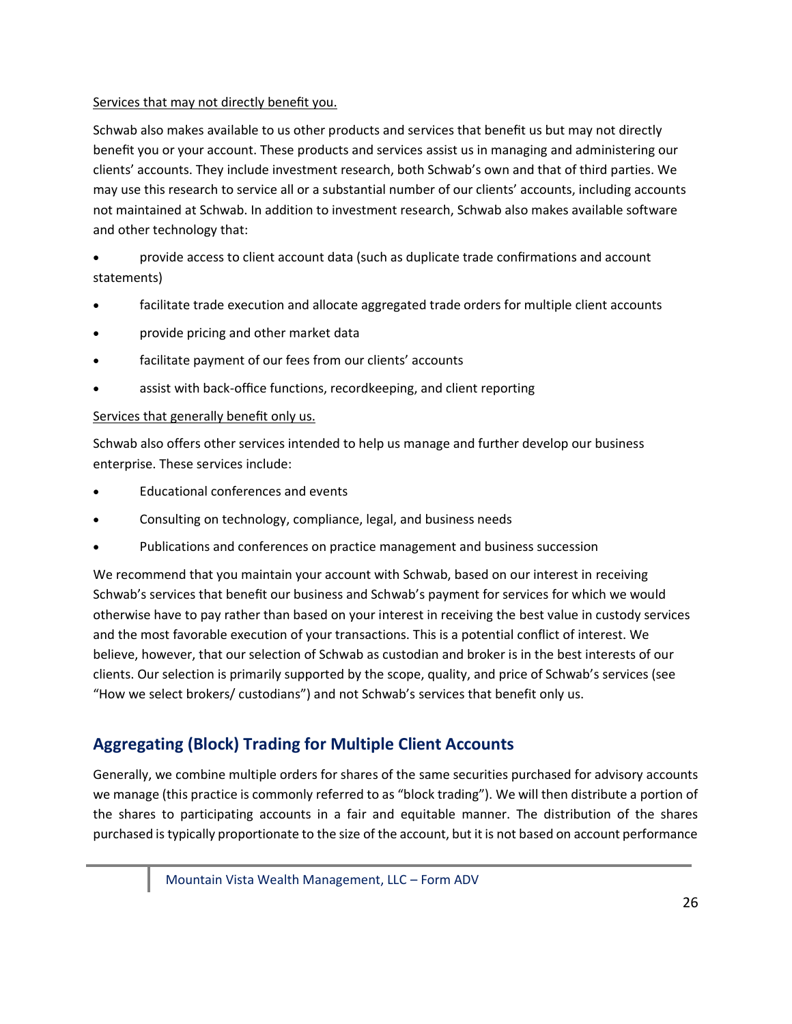#### Services that may not directly benefit you.

Schwab also makes available to us other products and services that benefit us but may not directly benefit you or your account. These products and services assist us in managing and administering our clients' accounts. They include investment research, both Schwab's own and that of third parties. We may use this research to service all or a substantial number of our clients' accounts, including accounts not maintained at Schwab. In addition to investment research, Schwab also makes available software and other technology that:

• provide access to client account data (such as duplicate trade confirmations and account statements)

- facilitate trade execution and allocate aggregated trade orders for multiple client accounts
- provide pricing and other market data
- facilitate payment of our fees from our clients' accounts
- assist with back-office functions, recordkeeping, and client reporting

#### Services that generally benefit only us.

Schwab also offers other services intended to help us manage and further develop our business enterprise. These services include:

- Educational conferences and events
- Consulting on technology, compliance, legal, and business needs
- Publications and conferences on practice management and business succession

We recommend that you maintain your account with Schwab, based on our interest in receiving Schwab's services that benefit our business and Schwab's payment for services for which we would otherwise have to pay rather than based on your interest in receiving the best value in custody services and the most favorable execution of your transactions. This is a potential conflict of interest. We believe, however, that our selection of Schwab as custodian and broker is in the best interests of our clients. Our selection is primarily supported by the scope, quality, and price of Schwab's services (see "How we select brokers/ custodians") and not Schwab's services that benefit only us.

# **Aggregating (Block) Trading for Multiple Client Accounts**

Generally, we combine multiple orders for shares of the same securities purchased for advisory accounts we manage (this practice is commonly referred to as "block trading"). We will then distribute a portion of the shares to participating accounts in a fair and equitable manner. The distribution of the shares purchased is typically proportionate to the size of the account, but it is not based on account performance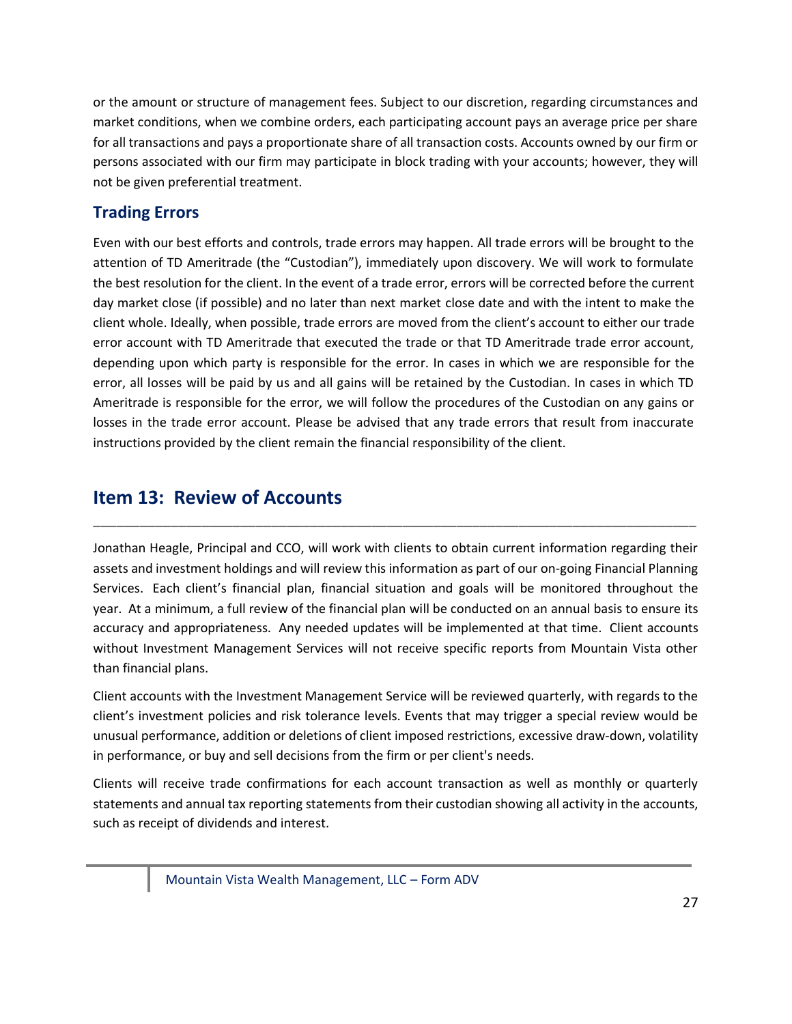or the amount or structure of management fees. Subject to our discretion, regarding circumstances and market conditions, when we combine orders, each participating account pays an average price per share for all transactions and pays a proportionate share of all transaction costs. Accounts owned by our firm or persons associated with our firm may participate in block trading with your accounts; however, they will not be given preferential treatment.

# **Trading Errors**

Even with our best efforts and controls, trade errors may happen. All trade errors will be brought to the attention of TD Ameritrade (the "Custodian"), immediately upon discovery. We will work to formulate the best resolution for the client. In the event of a trade error, errors will be corrected before the current day market close (if possible) and no later than next market close date and with the intent to make the client whole. Ideally, when possible, trade errors are moved from the client's account to either our trade error account with TD Ameritrade that executed the trade or that TD Ameritrade trade error account, depending upon which party is responsible for the error. In cases in which we are responsible for the error, all losses will be paid by us and all gains will be retained by the Custodian. In cases in which TD Ameritrade is responsible for the error, we will follow the procedures of the Custodian on any gains or losses in the trade error account. Please be advised that any trade errors that result from inaccurate instructions provided by the client remain the financial responsibility of the client.

# <span id="page-26-0"></span>**Item 13: Review of Accounts**

Jonathan Heagle, Principal and CCO, will work with clients to obtain current information regarding their assets and investment holdings and will review this information as part of our on-going Financial Planning Services. Each client's financial plan, financial situation and goals will be monitored throughout the year. At a minimum, a full review of the financial plan will be conducted on an annual basis to ensure its accuracy and appropriateness. Any needed updates will be implemented at that time. Client accounts without Investment Management Services will not receive specific reports from Mountain Vista other than financial plans.

\_\_\_\_\_\_\_\_\_\_\_\_\_\_\_\_\_\_\_\_\_\_\_\_\_\_\_\_\_\_\_\_\_\_\_\_\_\_\_\_\_\_\_\_\_\_\_\_\_\_\_\_\_\_\_\_\_\_\_\_\_\_\_\_\_\_\_\_\_\_\_\_\_\_\_\_\_\_

Client accounts with the Investment Management Service will be reviewed quarterly, with regards to the client's investment policies and risk tolerance levels. Events that may trigger a special review would be unusual performance, addition or deletions of client imposed restrictions, excessive draw-down, volatility in performance, or buy and sell decisions from the firm or per client's needs.

Clients will receive trade confirmations for each account transaction as well as monthly or quarterly statements and annual tax reporting statements from their custodian showing all activity in the accounts, such as receipt of dividends and interest.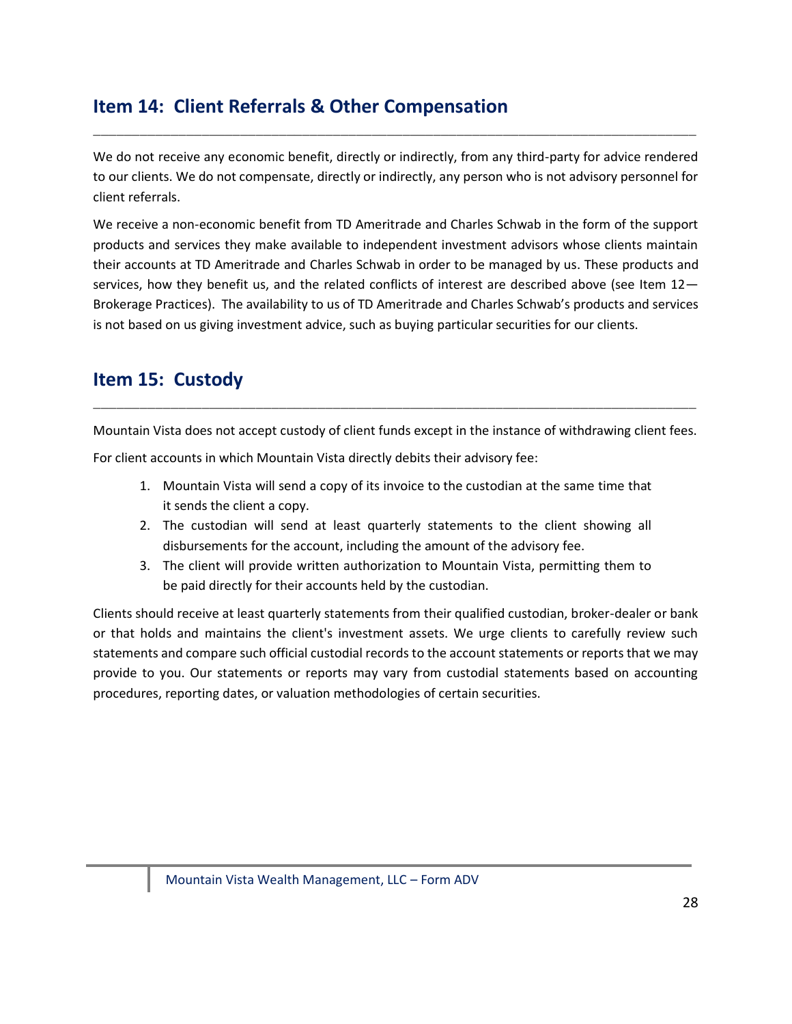# <span id="page-27-0"></span>**Item 14: Client Referrals & Other Compensation**

We do not receive any economic benefit, directly or indirectly, from any third-party for advice rendered to our clients. We do not compensate, directly or indirectly, any person who is not advisory personnel for client referrals.

\_\_\_\_\_\_\_\_\_\_\_\_\_\_\_\_\_\_\_\_\_\_\_\_\_\_\_\_\_\_\_\_\_\_\_\_\_\_\_\_\_\_\_\_\_\_\_\_\_\_\_\_\_\_\_\_\_\_\_\_\_\_\_\_\_\_\_\_\_\_\_\_\_\_\_\_\_\_

We receive a non-economic benefit from TD Ameritrade and Charles Schwab in the form of the support products and services they make available to independent investment advisors whose clients maintain their accounts at TD Ameritrade and Charles Schwab in order to be managed by us. These products and services, how they benefit us, and the related conflicts of interest are described above (see Item 12-Brokerage Practices). The availability to us of TD Ameritrade and Charles Schwab's products and services is not based on us giving investment advice, such as buying particular securities for our clients.

# <span id="page-27-1"></span>**Item 15: Custody**

Mountain Vista does not accept custody of client funds except in the instance of withdrawing client fees.

\_\_\_\_\_\_\_\_\_\_\_\_\_\_\_\_\_\_\_\_\_\_\_\_\_\_\_\_\_\_\_\_\_\_\_\_\_\_\_\_\_\_\_\_\_\_\_\_\_\_\_\_\_\_\_\_\_\_\_\_\_\_\_\_\_\_\_\_\_\_\_\_\_\_\_\_\_\_

For client accounts in which Mountain Vista directly debits their advisory fee:

- 1. Mountain Vista will send a copy of its invoice to the custodian at the same time that it sends the client a copy.
- 2. The custodian will send at least quarterly statements to the client showing all disbursements for the account, including the amount of the advisory fee.
- 3. The client will provide written authorization to Mountain Vista, permitting them to be paid directly for their accounts held by the custodian.

Clients should receive at least quarterly statements from their qualified custodian, broker-dealer or bank or that holds and maintains the client's investment assets. We urge clients to carefully review such statements and compare such official custodial records to the account statements or reports that we may provide to you. Our statements or reports may vary from custodial statements based on accounting procedures, reporting dates, or valuation methodologies of certain securities.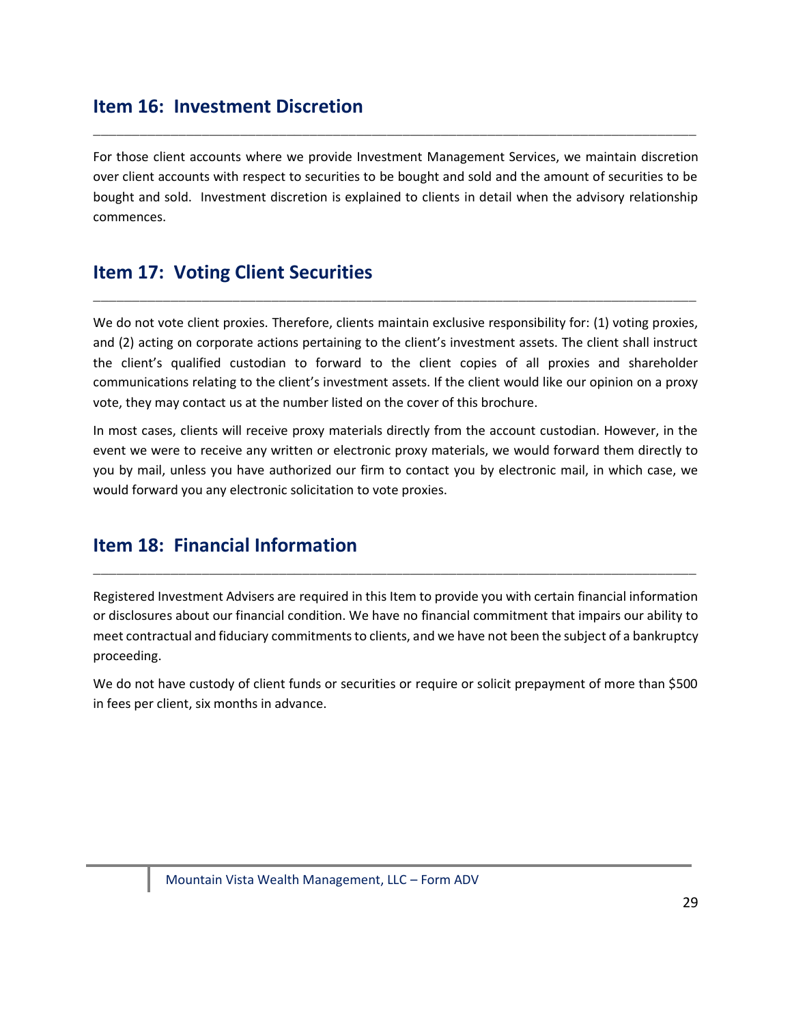# **Item 16: Investment Discretion**

For those client accounts where we provide Investment Management Services, we maintain discretion over client accounts with respect to securities to be bought and sold and the amount of securities to be bought and sold. Investment discretion is explained to clients in detail when the advisory relationship commences.

\_\_\_\_\_\_\_\_\_\_\_\_\_\_\_\_\_\_\_\_\_\_\_\_\_\_\_\_\_\_\_\_\_\_\_\_\_\_\_\_\_\_\_\_\_\_\_\_\_\_\_\_\_\_\_\_\_\_\_\_\_\_\_\_\_\_\_\_\_\_\_\_\_\_\_\_\_\_

# <span id="page-28-0"></span>**Item 17: Voting Client Securities**

We do not vote client proxies. Therefore, clients maintain exclusive responsibility for: (1) voting proxies, and (2) acting on corporate actions pertaining to the client's investment assets. The client shall instruct the client's qualified custodian to forward to the client copies of all proxies and shareholder communications relating to the client's investment assets. If the client would like our opinion on a proxy vote, they may contact us at the number listed on the cover of this brochure.

\_\_\_\_\_\_\_\_\_\_\_\_\_\_\_\_\_\_\_\_\_\_\_\_\_\_\_\_\_\_\_\_\_\_\_\_\_\_\_\_\_\_\_\_\_\_\_\_\_\_\_\_\_\_\_\_\_\_\_\_\_\_\_\_\_\_\_\_\_\_\_\_\_\_\_\_\_\_

In most cases, clients will receive proxy materials directly from the account custodian. However, in the event we were to receive any written or electronic proxy materials, we would forward them directly to you by mail, unless you have authorized our firm to contact you by electronic mail, in which case, we would forward you any electronic solicitation to vote proxies.

# <span id="page-28-1"></span>**Item 18: Financial Information**

Registered Investment Advisers are required in this Item to provide you with certain financial information or disclosures about our financial condition. We have no financial commitment that impairs our ability to meet contractual and fiduciary commitments to clients, and we have not been the subject of a bankruptcy proceeding.

\_\_\_\_\_\_\_\_\_\_\_\_\_\_\_\_\_\_\_\_\_\_\_\_\_\_\_\_\_\_\_\_\_\_\_\_\_\_\_\_\_\_\_\_\_\_\_\_\_\_\_\_\_\_\_\_\_\_\_\_\_\_\_\_\_\_\_\_\_\_\_\_\_\_\_\_\_\_

We do not have custody of client funds or securities or require or solicit prepayment of more than \$500 in fees per client, six months in advance.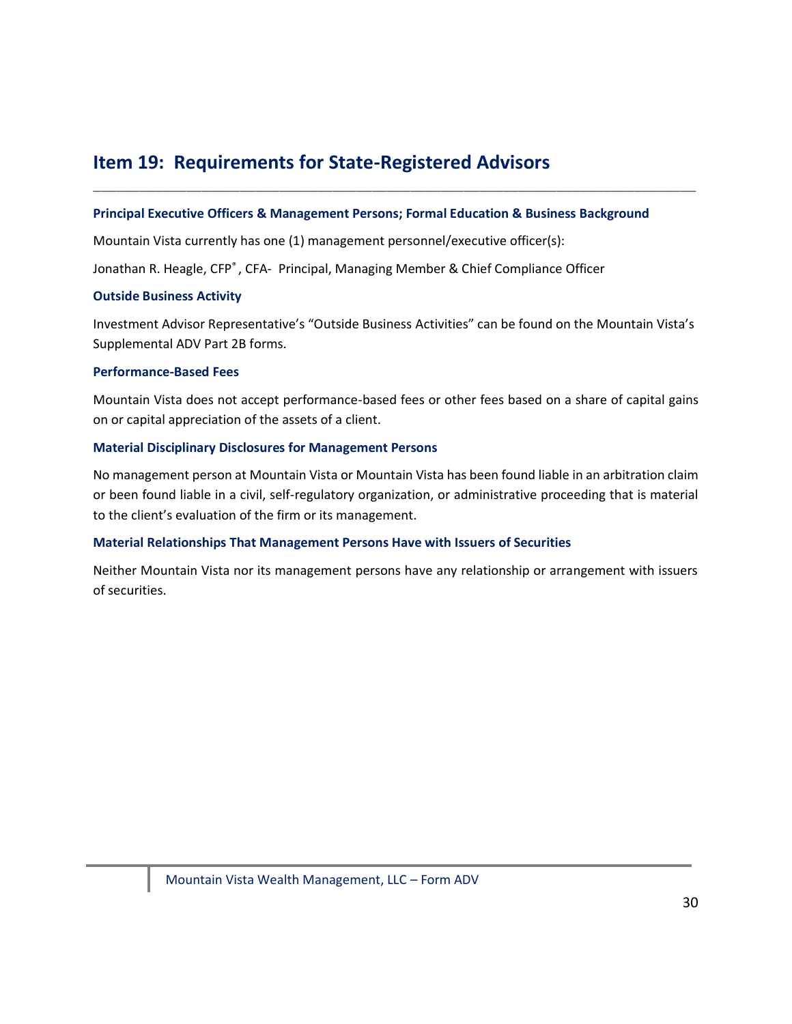# <span id="page-29-0"></span>**Item 19: Requirements for State-Registered Advisors**

#### **Principal Executive Officers & Management Persons; Formal Education & Business Background**

\_\_\_\_\_\_\_\_\_\_\_\_\_\_\_\_\_\_\_\_\_\_\_\_\_\_\_\_\_\_\_\_\_\_\_\_\_\_\_\_\_\_\_\_\_\_\_\_\_\_\_\_\_\_\_\_\_\_\_\_\_\_\_\_\_\_\_\_\_\_\_\_\_\_\_\_\_\_

Mountain Vista currently has one (1) management personnel/executive officer(s):

Jonathan R. Heagle, CFP®, CFA- Principal, Managing Member & Chief Compliance Officer

#### **Outside Business Activity**

Investment Advisor Representative's "Outside Business Activities" can be found on the Mountain Vista's Supplemental ADV Part 2B forms.

#### **Performance-Based Fees**

Mountain Vista does not accept performance-based fees or other fees based on a share of capital gains on or capital appreciation of the assets of a client.

#### **Material Disciplinary Disclosures for Management Persons**

No management person at Mountain Vista or Mountain Vista has been found liable in an arbitration claim or been found liable in a civil, self-regulatory organization, or administrative proceeding that is material to the client's evaluation of the firm or its management.

#### **Material Relationships That Management Persons Have with Issuers of Securities**

<span id="page-29-1"></span>Neither Mountain Vista nor its management persons have any relationship or arrangement with issuers of securities.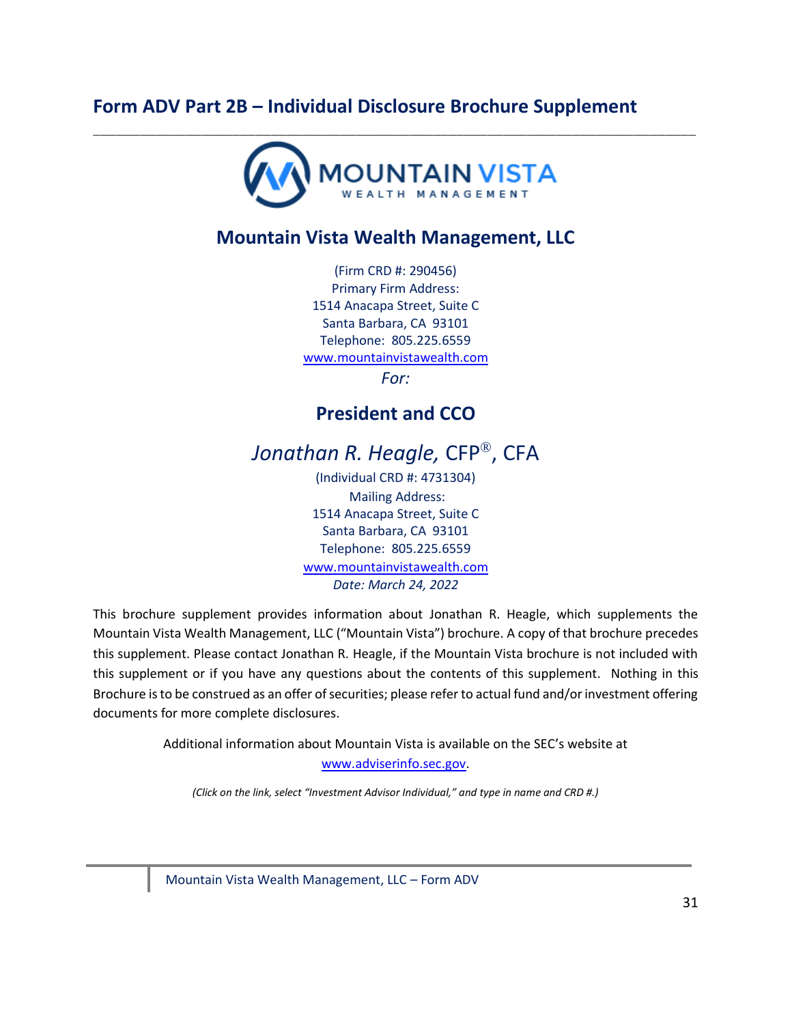# **Form ADV Part 2B – Individual Disclosure Brochure Supplement**



# **Mountain Vista Wealth Management, LLC**

(Firm CRD #: 290456) Primary Firm Address: 1514 Anacapa Street, Suite C Santa Barbara, CA 93101 Telephone: 805.225.6559 [www.mountainvistawealth.com](http://www.mountainvistawealth.com/)

*For:* 

# **President and CCO**

Jonathan R. Heagle, CFP<sup>®</sup>, CFA

(Individual CRD #: 4731304) Mailing Address: 1514 Anacapa Street, Suite C Santa Barbara, CA 93101 Telephone: 805.225.6559 [www.mountainvistawealth.com](http://www.mountainvistawealth.com/) *Date: March 24, 2022*

This brochure supplement provides information about Jonathan R. Heagle, which supplements the Mountain Vista Wealth Management, LLC ("Mountain Vista") brochure. A copy of that brochure precedes this supplement. Please contact Jonathan R. Heagle, if the Mountain Vista brochure is not included with this supplement or if you have any questions about the contents of this supplement. Nothing in this Brochure is to be construed as an offer of securities; please refer to actual fund and/or investment offering documents for more complete disclosures.

Additional information about Mountain Vista is available on the SEC's website at

[www.adviserinfo.sec.gov.](http://www.adviserinfo.sec.gov/)

*(Click on the link, select "Investment Advisor Individual," and type in name and CRD #.)*

Mountain Vista Wealth Management, LLC – Form ADV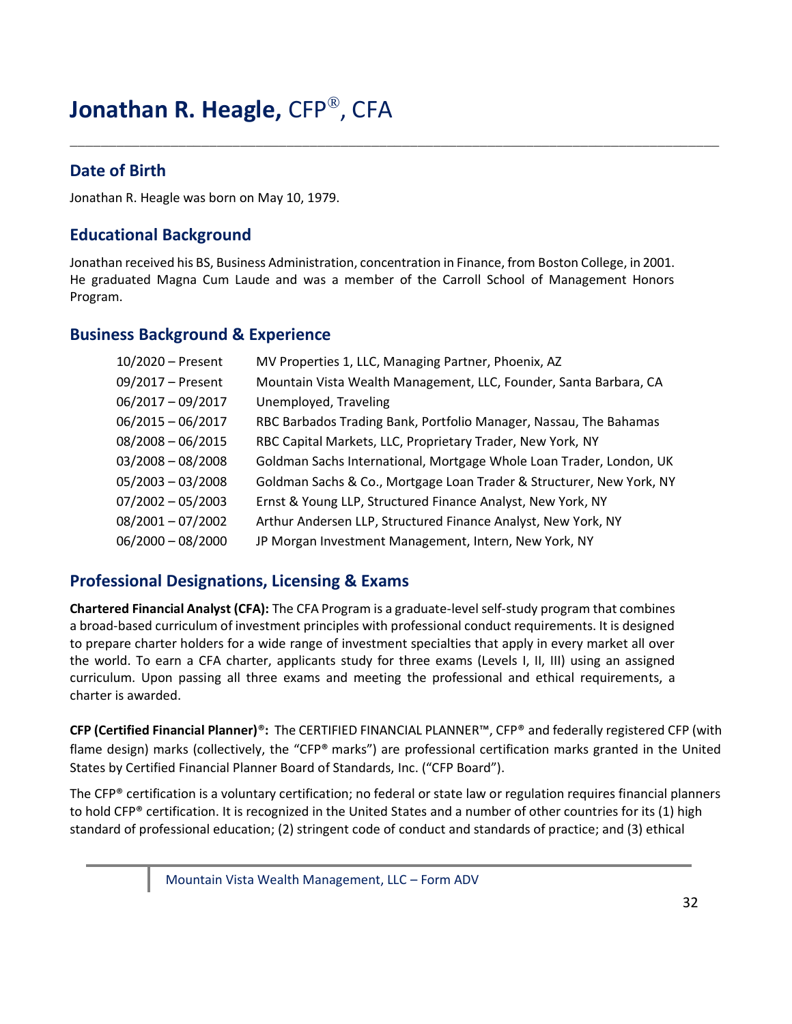# **Jonathan R. Heagle,** CFP® , CFA

# **Date of Birth**

Jonathan R. Heagle was born on May 10, 1979.

# **Educational Background**

Jonathan received his BS, Business Administration, concentration in Finance, from Boston College, in 2001. He graduated Magna Cum Laude and was a member of the Carroll School of Management Honors Program.

\_\_\_\_\_\_\_\_\_\_\_\_\_\_\_\_\_\_\_\_\_\_\_\_\_\_\_\_\_\_\_\_\_\_\_\_\_\_\_\_\_\_\_\_\_\_\_\_\_\_\_\_\_\_\_\_\_\_\_\_\_\_\_\_\_\_\_\_\_\_\_\_\_\_\_\_\_\_\_\_\_\_\_\_

### **Business Background & Experience**

| 10/2020 - Present   | MV Properties 1, LLC, Managing Partner, Phoenix, AZ                  |
|---------------------|----------------------------------------------------------------------|
| 09/2017 - Present   | Mountain Vista Wealth Management, LLC, Founder, Santa Barbara, CA    |
| $06/2017 - 09/2017$ | Unemployed, Traveling                                                |
| $06/2015 - 06/2017$ | RBC Barbados Trading Bank, Portfolio Manager, Nassau, The Bahamas    |
| $08/2008 - 06/2015$ | RBC Capital Markets, LLC, Proprietary Trader, New York, NY           |
| $03/2008 - 08/2008$ | Goldman Sachs International, Mortgage Whole Loan Trader, London, UK  |
| $05/2003 - 03/2008$ | Goldman Sachs & Co., Mortgage Loan Trader & Structurer, New York, NY |
| $07/2002 - 05/2003$ | Ernst & Young LLP, Structured Finance Analyst, New York, NY          |
| $08/2001 - 07/2002$ | Arthur Andersen LLP, Structured Finance Analyst, New York, NY        |
| $06/2000 - 08/2000$ | JP Morgan Investment Management, Intern, New York, NY                |

### **Professional Designations, Licensing & Exams**

**Chartered Financial Analyst (CFA):** The CFA Program is a graduate-level self-study program that combines a broad-based curriculum of investment principles with professional conduct requirements. It is designed to prepare charter holders for a wide range of investment specialties that apply in every market all over the world. To earn a CFA charter, applicants study for three exams (Levels I, II, III) using an assigned curriculum. Upon passing all three exams and meeting the professional and ethical requirements, a charter is awarded.

**CFP (Certified Financial Planner)**®**:** The CERTIFIED FINANCIAL PLANNER™, CFP® and federally registered CFP (with flame design) marks (collectively, the "CFP® marks") are professional certification marks granted in the United States by Certified Financial Planner Board of Standards, Inc. ("CFP Board").

The CFP® certification is a voluntary certification; no federal or state law or regulation requires financial planners to hold CFP® certification. It is recognized in the United States and a number of other countries for its (1) high standard of professional education; (2) stringent code of conduct and standards of practice; and (3) ethical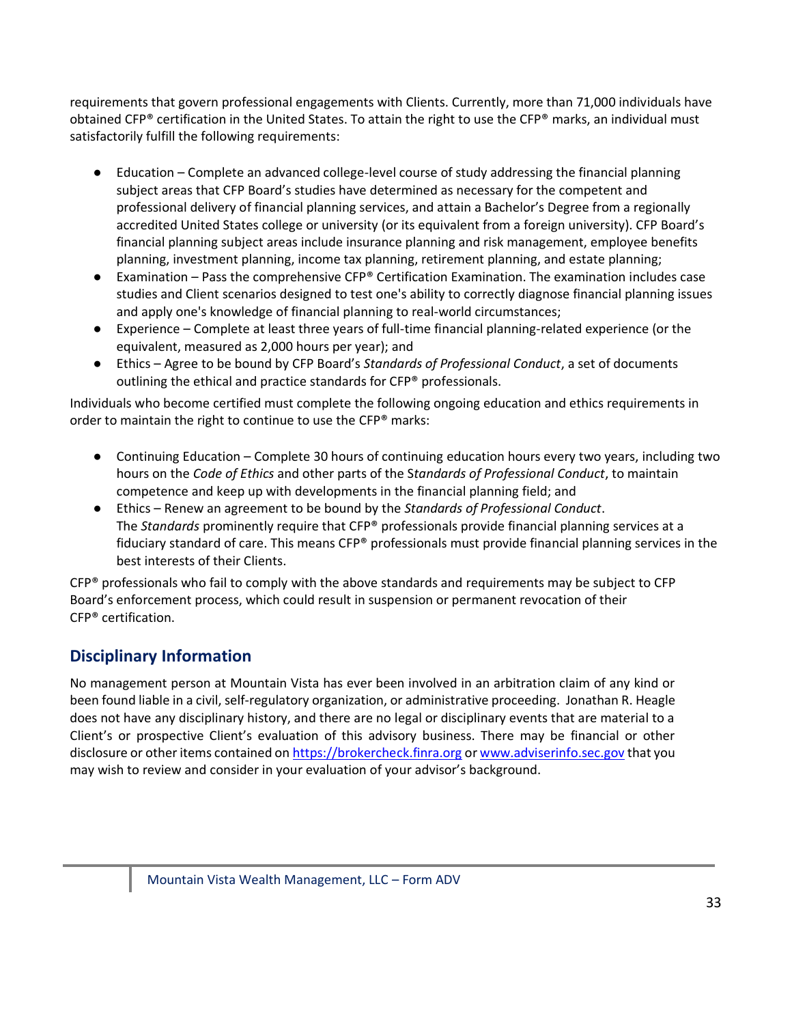requirements that govern professional engagements with Clients. Currently, more than 71,000 individuals have obtained CFP® certification in the United States. To attain the right to use the CFP® marks, an individual must satisfactorily fulfill the following requirements:

- Education Complete an advanced college-level course of study addressing the financial planning subject areas that CFP Board's studies have determined as necessary for the competent and professional delivery of financial planning services, and attain a Bachelor's Degree from a regionally accredited United States college or university (or its equivalent from a foreign university). CFP Board's financial planning subject areas include insurance planning and risk management, employee benefits planning, investment planning, income tax planning, retirement planning, and estate planning;
- Examination Pass the comprehensive CFP® Certification Examination. The examination includes case studies and Client scenarios designed to test one's ability to correctly diagnose financial planning issues and apply one's knowledge of financial planning to real-world circumstances;
- Experience Complete at least three years of full-time financial planning-related experience (or the equivalent, measured as 2,000 hours per year); and
- Ethics Agree to be bound by CFP Board's *Standards of Professional Conduct*, a set of documents outlining the ethical and practice standards for CFP® professionals.

Individuals who become certified must complete the following ongoing education and ethics requirements in order to maintain the right to continue to use the CFP® marks:

- Continuing Education Complete 30 hours of continuing education hours every two years, including two hours on the *Code of Ethics* and other parts of the S*tandards of Professional Conduct*, to maintain competence and keep up with developments in the financial planning field; and
- Ethics Renew an agreement to be bound by the *Standards of Professional Conduct*. The *Standards* prominently require that CFP® professionals provide financial planning services at a fiduciary standard of care. This means CFP® professionals must provide financial planning services in the best interests of their Clients.

 $CFP<sup>®</sup>$  professionals who fail to comply with the above standards and requirements may be subject to CFP Board's enforcement process, which could result in suspension or permanent revocation of their CFP® certification.

# **Disciplinary Information**

No management person at Mountain Vista has ever been involved in an arbitration claim of any kind or been found liable in a civil, self-regulatory organization, or administrative proceeding. Jonathan R. Heagle does not have any disciplinary history, and there are no legal or disciplinary events that are material to a Client's or prospective Client's evaluation of this advisory business. There may be financial or other disclosure or other items contained o[n https://brokercheck.finra.org](https://brokercheck.finra.org/) o[r www.adviserinfo.sec.gov](http://www.adviserinfo.sec.gov/) that you may wish to review and consider in your evaluation of your advisor's background.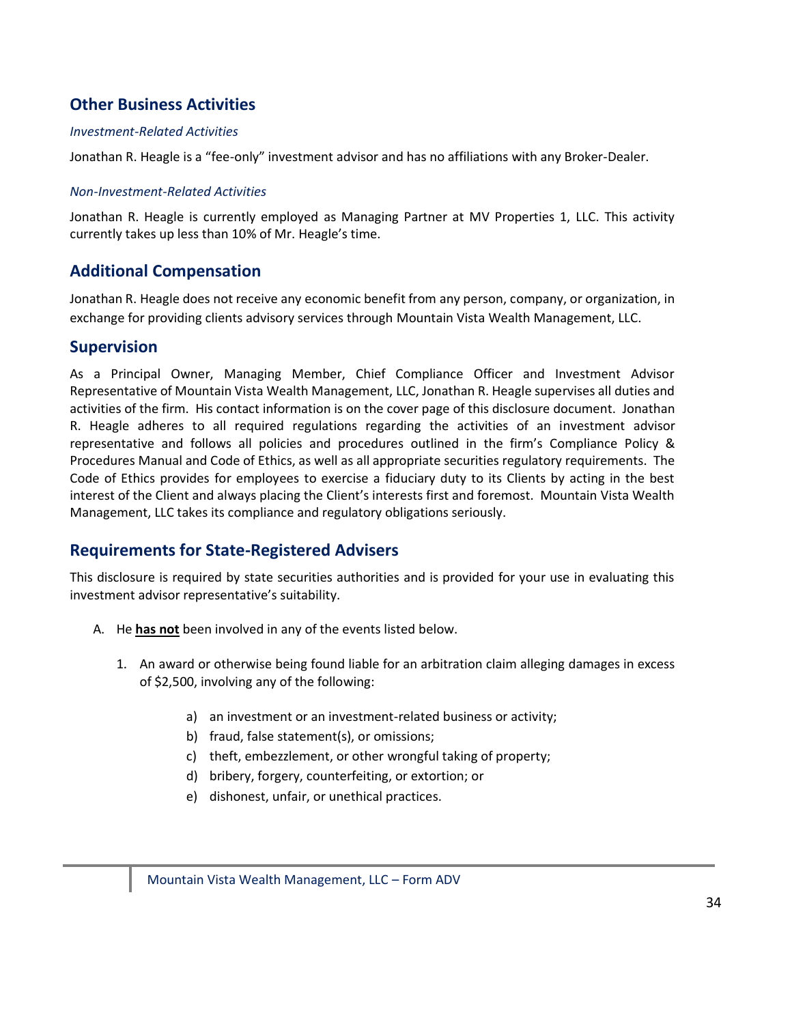# **Other Business Activities**

#### *Investment-Related Activities*

Jonathan R. Heagle is a "fee-only" investment advisor and has no affiliations with any Broker-Dealer.

#### *Non-Investment-Related Activities*

Jonathan R. Heagle is currently employed as Managing Partner at MV Properties 1, LLC. This activity currently takes up less than 10% of Mr. Heagle's time.

### **Additional Compensation**

Jonathan R. Heagle does not receive any economic benefit from any person, company, or organization, in exchange for providing clients advisory services through Mountain Vista Wealth Management, LLC.

### **Supervision**

As a Principal Owner, Managing Member, Chief Compliance Officer and Investment Advisor Representative of Mountain Vista Wealth Management, LLC, Jonathan R. Heagle supervises all duties and activities of the firm. His contact information is on the cover page of this disclosure document. Jonathan R. Heagle adheres to all required regulations regarding the activities of an investment advisor representative and follows all policies and procedures outlined in the firm's Compliance Policy & Procedures Manual and Code of Ethics, as well as all appropriate securities regulatory requirements. The Code of Ethics provides for employees to exercise a fiduciary duty to its Clients by acting in the best interest of the Client and always placing the Client's interests first and foremost. Mountain Vista Wealth Management, LLC takes its compliance and regulatory obligations seriously.

### **Requirements for State-Registered Advisers**

This disclosure is required by state securities authorities and is provided for your use in evaluating this investment advisor representative's suitability.

- A. He **has not** been involved in any of the events listed below.
	- 1. An award or otherwise being found liable for an arbitration claim alleging damages in excess of \$2,500, involving any of the following:
		- a) an investment or an investment-related business or activity;
		- b) fraud, false statement(s), or omissions;
		- c) theft, embezzlement, or other wrongful taking of property;
		- d) bribery, forgery, counterfeiting, or extortion; or
		- e) dishonest, unfair, or unethical practices.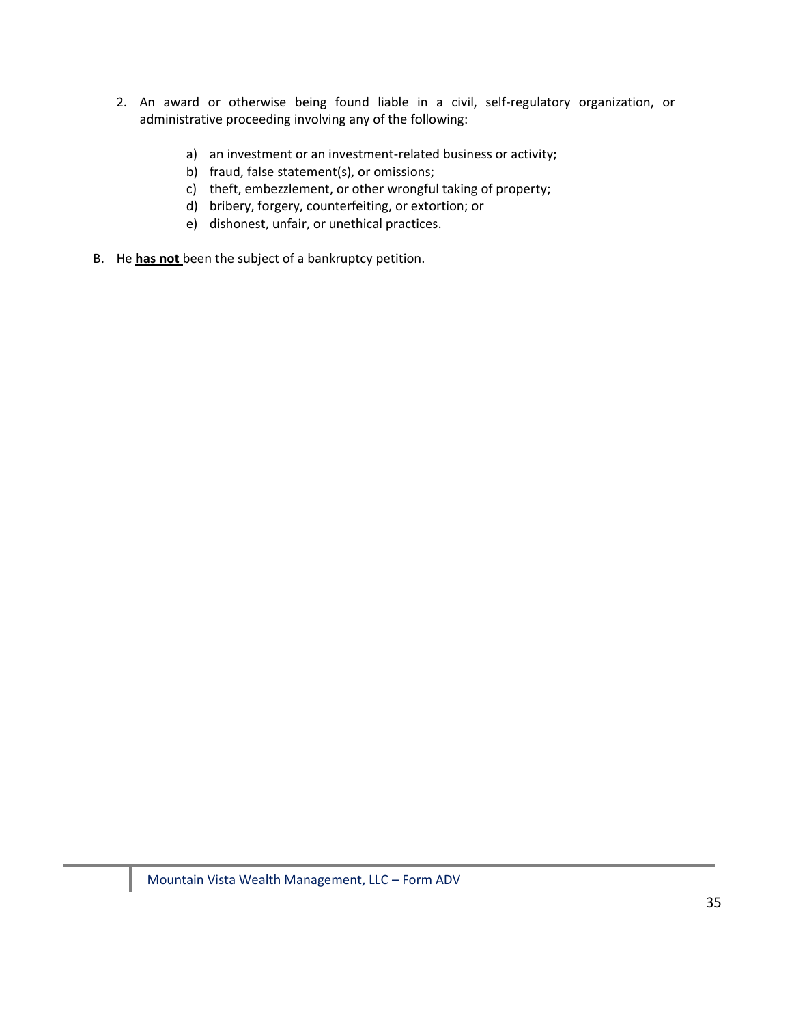- 2. An award or otherwise being found liable in a civil, self-regulatory organization, or administrative proceeding involving any of the following:
	- a) an investment or an investment-related business or activity;
	- b) fraud, false statement(s), or omissions;
	- c) theft, embezzlement, or other wrongful taking of property;
	- d) bribery, forgery, counterfeiting, or extortion; or
	- e) dishonest, unfair, or unethical practices.
- B. He **has not** been the subject of a bankruptcy petition.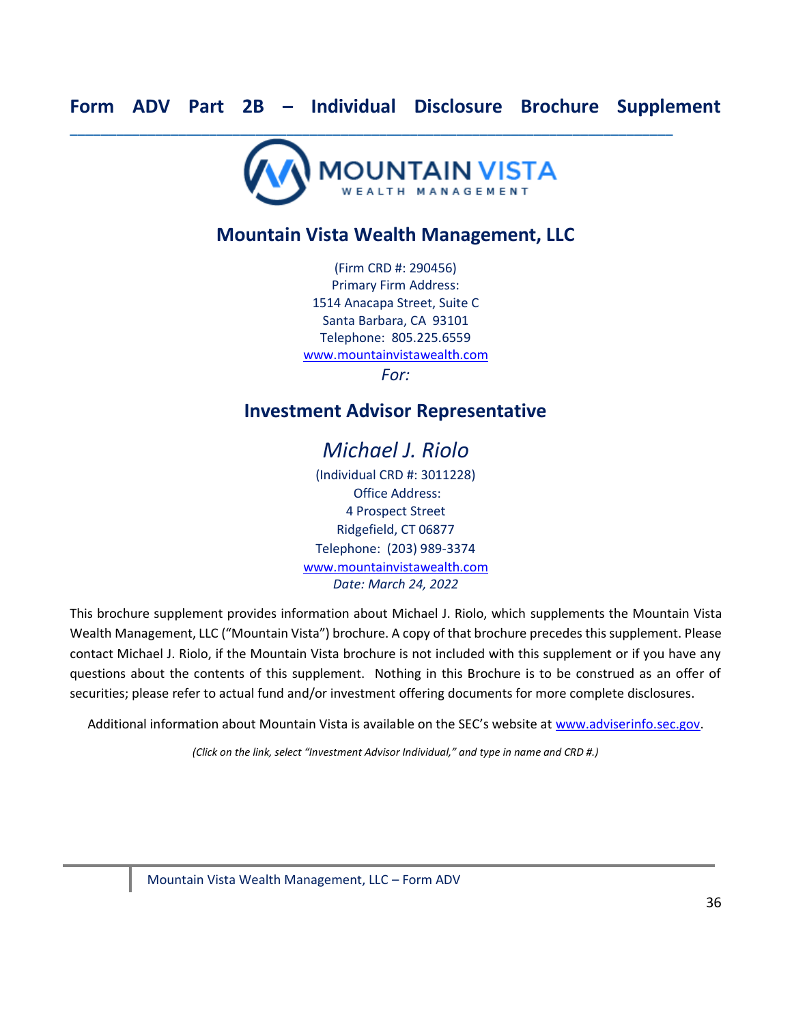<span id="page-35-0"></span>

# **Mountain Vista Wealth Management, LLC**

(Firm CRD #: 290456) Primary Firm Address: 1514 Anacapa Street, Suite C Santa Barbara, CA 93101 Telephone: 805.225.6559 [www.mountainvistawealth.com](http://www.mountainvistawealth.com/) *For:* 

# **Investment Advisor Representative**

# *Michael J. Riolo*

(Individual CRD #: 3011228) Office Address: 4 Prospect Street Ridgefield, CT 06877 Telephone: (203) 989-3374 [www.mountainvistawealth.com](http://www.mountainvistawealth.com/) *Date: March 24, 2022*

This brochure supplement provides information about Michael J. Riolo, which supplements the Mountain Vista Wealth Management, LLC ("Mountain Vista") brochure. A copy of that brochure precedes this supplement. Please contact Michael J. Riolo, if the Mountain Vista brochure is not included with this supplement or if you have any questions about the contents of this supplement. Nothing in this Brochure is to be construed as an offer of securities; please refer to actual fund and/or investment offering documents for more complete disclosures.

Additional information about Mountain Vista is available on the SEC's website at [www.adviserinfo.sec.gov.](http://www.adviserinfo.sec.gov/)

*(Click on the link, select "Investment Advisor Individual," and type in name and CRD #.)*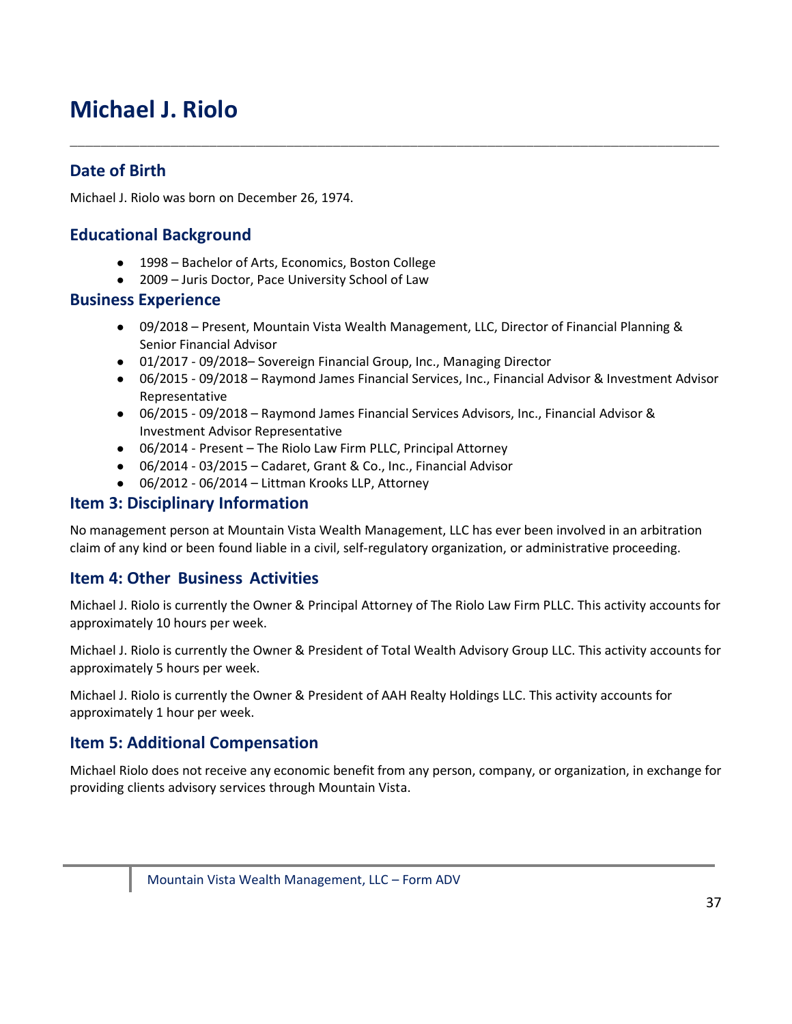# **Michael J. Riolo**

# **Date of Birth**

Michael J. Riolo was born on December 26, 1974.

### **Educational Background**

- 1998 Bachelor of Arts, Economics, Boston College
- 2009 Juris Doctor, Pace University School of Law

#### **Business Experience**

● 09/2018 – Present, Mountain Vista Wealth Management, LLC, Director of Financial Planning & Senior Financial Advisor

\_\_\_\_\_\_\_\_\_\_\_\_\_\_\_\_\_\_\_\_\_\_\_\_\_\_\_\_\_\_\_\_\_\_\_\_\_\_\_\_\_\_\_\_\_\_\_\_\_\_\_\_\_\_\_\_\_\_\_\_\_\_\_\_\_\_\_\_\_\_\_\_\_\_\_\_\_\_\_\_\_\_\_\_

- 01/2017 09/2018– Sovereign Financial Group, Inc., Managing Director
- 06/2015 09/2018 Raymond James Financial Services, Inc., Financial Advisor & Investment Advisor Representative
- 06/2015 09/2018 Raymond James Financial Services Advisors, Inc., Financial Advisor & Investment Advisor Representative
- 06/2014 Present The Riolo Law Firm PLLC, Principal Attorney
- 06/2014 03/2015 Cadaret, Grant & Co., Inc., Financial Advisor
- 06/2012 06/2014 Littman Krooks LLP, Attorney

### **Item 3: Disciplinary Information**

No management person at Mountain Vista Wealth Management, LLC has ever been involved in an arbitration claim of any kind or been found liable in a civil, self-regulatory organization, or administrative proceeding.

### **Item 4: Other Business Activities**

Michael J. Riolo is currently the Owner & Principal Attorney of The Riolo Law Firm PLLC. This activity accounts for approximately 10 hours per week.

Michael J. Riolo is currently the Owner & President of Total Wealth Advisory Group LLC. This activity accounts for approximately 5 hours per week.

Michael J. Riolo is currently the Owner & President of AAH Realty Holdings LLC. This activity accounts for approximately 1 hour per week.

### **Item 5: Additional Compensation**

Michael Riolo does not receive any economic benefit from any person, company, or organization, in exchange for providing clients advisory services through Mountain Vista.